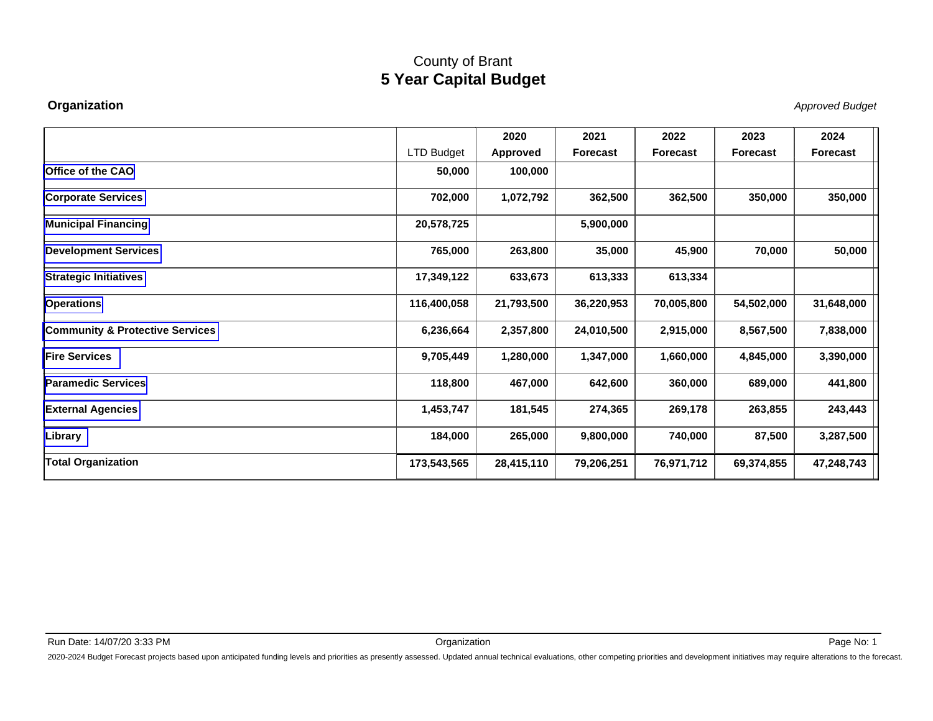#### **Organization**

Approved Budget

|                                            |                   | 2020       | 2021            | 2022       | 2023            | 2024       |
|--------------------------------------------|-------------------|------------|-----------------|------------|-----------------|------------|
|                                            | <b>LTD Budget</b> | Approved   | <b>Forecast</b> | Forecast   | <b>Forecast</b> | Forecast   |
| <b>Office of the CAO</b>                   | 50,000            | 100,000    |                 |            |                 |            |
| <b>Corporate Services</b>                  | 702,000           | 1,072,792  | 362,500         | 362,500    | 350,000         | 350,000    |
| <b>Municipal Financing</b>                 | 20,578,725        |            | 5,900,000       |            |                 |            |
| <b>Development Services</b>                | 765,000           | 263,800    | 35,000          | 45,900     | 70,000          | 50,000     |
| <b>Strategic Initiatives</b>               | 17,349,122        | 633,673    | 613,333         | 613,334    |                 |            |
| <b>Operations</b>                          | 116,400,058       | 21,793,500 | 36,220,953      | 70,005,800 | 54,502,000      | 31,648,000 |
| <b>Community &amp; Protective Services</b> | 6,236,664         | 2,357,800  | 24,010,500      | 2,915,000  | 8,567,500       | 7,838,000  |
| <b>Fire Services</b>                       | 9,705,449         | 1,280,000  | 1,347,000       | 1,660,000  | 4,845,000       | 3,390,000  |
| lParamedic Services                        | 118,800           | 467,000    | 642,600         | 360,000    | 689,000         | 441,800    |
| <b>External Agencies</b>                   | 1,453,747         | 181,545    | 274,365         | 269,178    | 263,855         | 243,443    |
| Library                                    | 184,000           | 265,000    | 9,800,000       | 740,000    | 87,500          | 3,287,500  |
| <b>Total Organization</b>                  | 173,543,565       | 28,415,110 | 79,206,251      | 76,971,712 | 69,374,855      | 47,248,743 |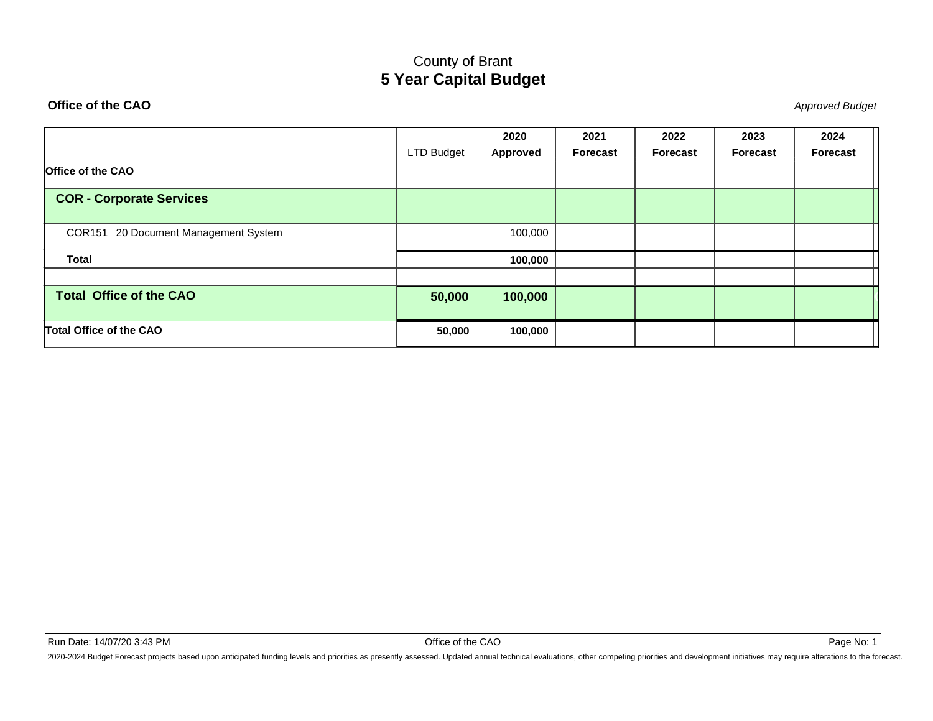#### <span id="page-1-0"></span>**Office of the CAO**

**O** and the contract of the contract of the contract of the contract of the contract of the contract of the contract of the contract of the contract of the contract of the contract of the contract of the contract of the co

|                                      |            | 2020     | 2021            | 2022            | 2023            | 2024     |
|--------------------------------------|------------|----------|-----------------|-----------------|-----------------|----------|
|                                      | LTD Budget | Approved | <b>Forecast</b> | <b>Forecast</b> | <b>Forecast</b> | Forecast |
| <b>Office of the CAO</b>             |            |          |                 |                 |                 |          |
| <b>COR - Corporate Services</b>      |            |          |                 |                 |                 |          |
| COR151 20 Document Management System |            | 100,000  |                 |                 |                 |          |
| <b>Total</b>                         |            | 100,000  |                 |                 |                 |          |
| <b>Total Office of the CAO</b>       | 50,000     | 100,000  |                 |                 |                 |          |
| <b>Total Office of the CAO</b>       | 50,000     | 100,000  |                 |                 |                 |          |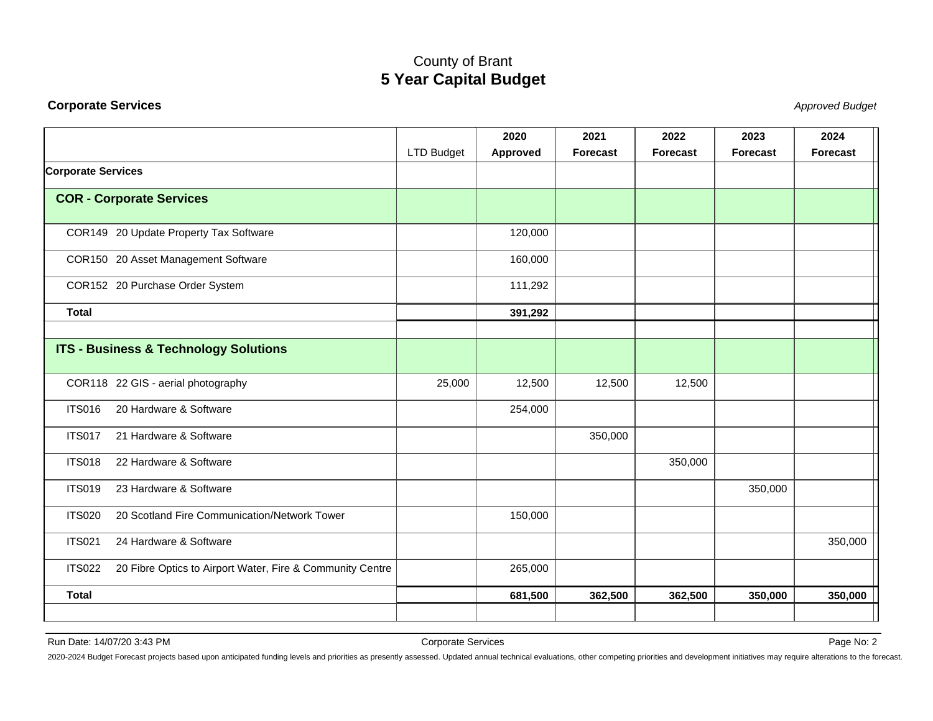#### <span id="page-2-0"></span>**Corporate Services**

Stephend Budget and the set of the set of the set of the set of the set of the set of the set of the set of the set of the set of the set of the set of the set of the set of the set of the set of the set of the set of the

|                                                                            |                   | 2020     | 2021     | 2022            | 2023     | 2024            |
|----------------------------------------------------------------------------|-------------------|----------|----------|-----------------|----------|-----------------|
|                                                                            | <b>LTD Budget</b> | Approved | Forecast | <b>Forecast</b> | Forecast | <b>Forecast</b> |
| <b>Corporate Services</b>                                                  |                   |          |          |                 |          |                 |
| <b>COR - Corporate Services</b>                                            |                   |          |          |                 |          |                 |
| COR149 20 Update Property Tax Software                                     |                   | 120,000  |          |                 |          |                 |
| COR150 20 Asset Management Software                                        |                   | 160,000  |          |                 |          |                 |
| COR152 20 Purchase Order System                                            |                   | 111,292  |          |                 |          |                 |
| <b>Total</b>                                                               |                   | 391,292  |          |                 |          |                 |
| <b>ITS - Business &amp; Technology Solutions</b>                           |                   |          |          |                 |          |                 |
| COR118 22 GIS - aerial photography                                         | 25,000            | 12,500   | 12,500   | 12,500          |          |                 |
| <b>ITS016</b><br>20 Hardware & Software                                    |                   | 254,000  |          |                 |          |                 |
| <b>ITS017</b><br>21 Hardware & Software                                    |                   |          | 350,000  |                 |          |                 |
| <b>ITS018</b><br>22 Hardware & Software                                    |                   |          |          | 350,000         |          |                 |
| 23 Hardware & Software<br><b>ITS019</b>                                    |                   |          |          |                 | 350,000  |                 |
| <b>ITS020</b><br>20 Scotland Fire Communication/Network Tower              |                   | 150,000  |          |                 |          |                 |
| <b>ITS021</b><br>24 Hardware & Software                                    |                   |          |          |                 |          | 350,000         |
| <b>ITS022</b><br>20 Fibre Optics to Airport Water, Fire & Community Centre |                   | 265,000  |          |                 |          |                 |
| <b>Total</b>                                                               |                   | 681,500  | 362,500  | 362,500         | 350,000  | 350,000         |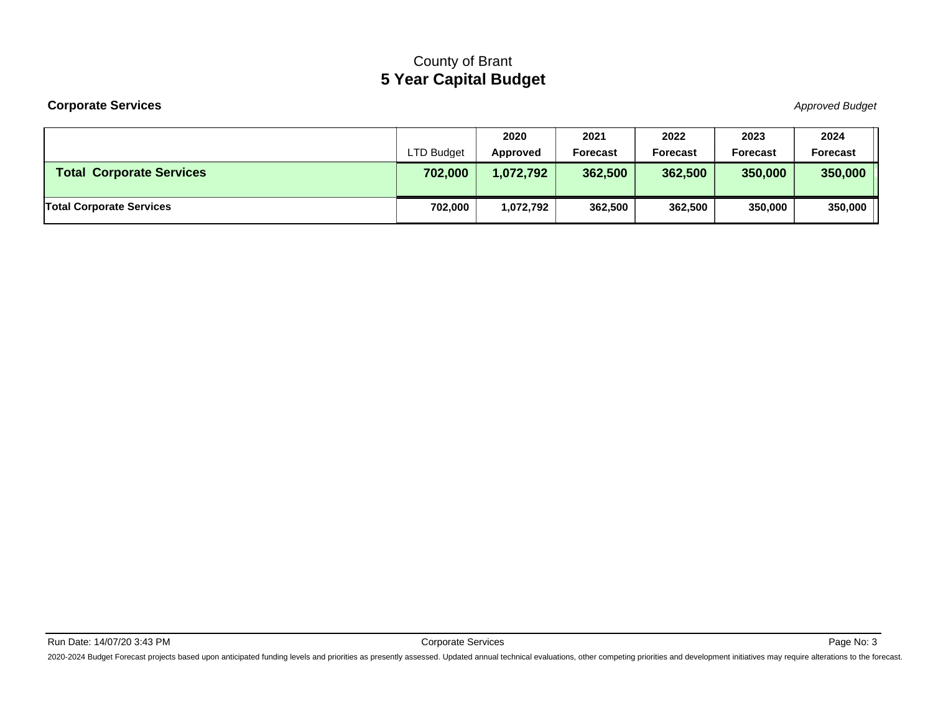#### **Corporate Services**

Stephend Budget and the set of the set of the set of the set of the set of the set of the set of the set of the set of the set of the set of the set of the set of the set of the set of the set of the set of the set of the

|                                 |                   | 2020      | 2021     | 2022            | 2023            | 2024            |
|---------------------------------|-------------------|-----------|----------|-----------------|-----------------|-----------------|
|                                 | <b>LTD Budget</b> | Approved  | Forecast | <b>Forecast</b> | <b>Forecast</b> | <b>Forecast</b> |
| <b>Total Corporate Services</b> | 702,000           | 1,072,792 | 362,500  | 362,500         | 350,000         | 350,000         |
| <b>Total Corporate Services</b> |                   |           |          |                 |                 |                 |
|                                 | 702,000           | .072,792  | 362,500  | 362,500         | 350,000         | 350,000         |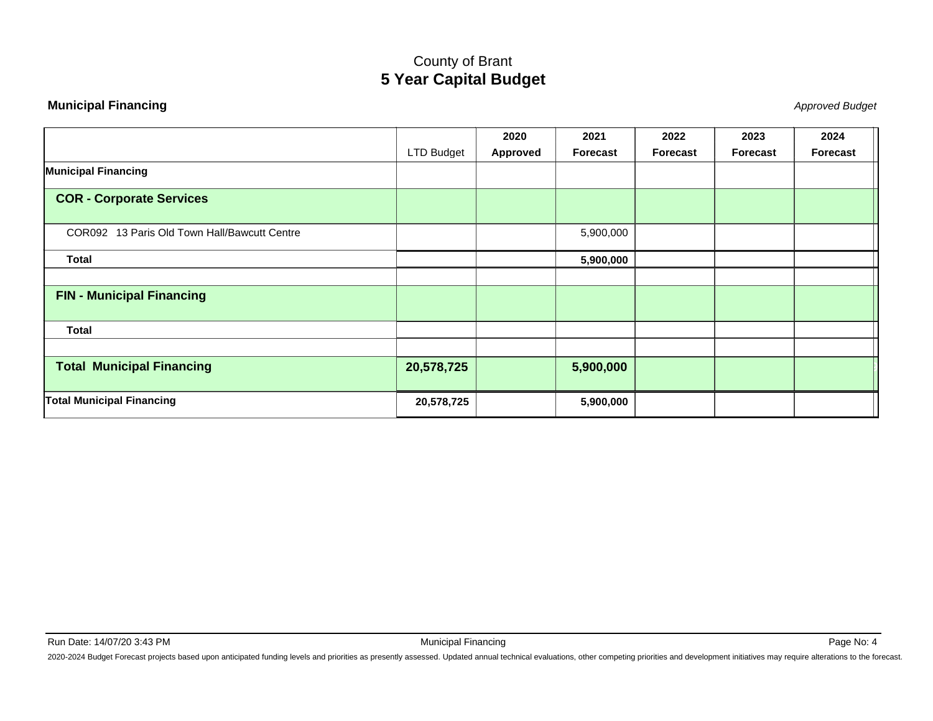#### <span id="page-4-0"></span>**Municipal Financing**

Approved Budget

|                                              |                   | 2020            | 2021      | 2022            | 2023            | 2024     |
|----------------------------------------------|-------------------|-----------------|-----------|-----------------|-----------------|----------|
|                                              | <b>LTD Budget</b> | <b>Approved</b> | Forecast  | <b>Forecast</b> | <b>Forecast</b> | Forecast |
| <b>Municipal Financing</b>                   |                   |                 |           |                 |                 |          |
| <b>COR - Corporate Services</b>              |                   |                 |           |                 |                 |          |
| COR092 13 Paris Old Town Hall/Bawcutt Centre |                   |                 | 5,900,000 |                 |                 |          |
| <b>Total</b>                                 |                   |                 | 5,900,000 |                 |                 |          |
| <b>FIN - Municipal Financing</b>             |                   |                 |           |                 |                 |          |
| <b>Total</b>                                 |                   |                 |           |                 |                 |          |
|                                              |                   |                 |           |                 |                 |          |
| <b>Total Municipal Financing</b>             | 20,578,725        |                 | 5,900,000 |                 |                 |          |
| <b>Total Municipal Financing</b>             | 20,578,725        |                 | 5,900,000 |                 |                 |          |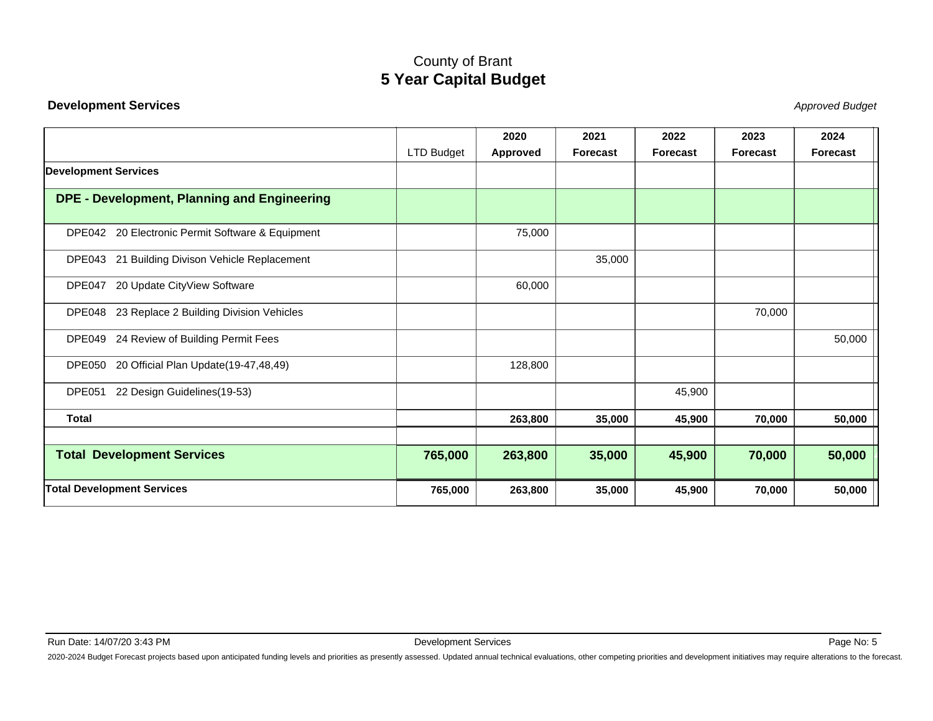#### <span id="page-5-0"></span>**Development Services**

Stephend Budget and the set of the set of the set of the set of the set of the set of the set of the set of the set of the set of the set of the set of the set of the set of the set of the set of the set of the set of the

|                                                       |                   | 2020     | 2021            | 2022            | 2023            | 2024            |
|-------------------------------------------------------|-------------------|----------|-----------------|-----------------|-----------------|-----------------|
|                                                       | <b>LTD Budget</b> | Approved | <b>Forecast</b> | <b>Forecast</b> | <b>Forecast</b> | <b>Forecast</b> |
| <b>Development Services</b>                           |                   |          |                 |                 |                 |                 |
| <b>DPE - Development, Planning and Engineering</b>    |                   |          |                 |                 |                 |                 |
| 20 Electronic Permit Software & Equipment<br>DPE042   |                   | 75,000   |                 |                 |                 |                 |
| DPE043 21 Building Divison Vehicle Replacement        |                   |          | 35,000          |                 |                 |                 |
| 20 Update CityView Software<br>DPE047                 |                   | 60,000   |                 |                 |                 |                 |
| DPE048 23 Replace 2 Building Division Vehicles        |                   |          |                 |                 | 70,000          |                 |
| 24 Review of Building Permit Fees<br>DPE049           |                   |          |                 |                 |                 | 50,000          |
| <b>DPE050</b><br>20 Official Plan Update(19-47,48,49) |                   | 128,800  |                 |                 |                 |                 |
| 22 Design Guidelines(19-53)<br>DPE051                 |                   |          |                 | 45,900          |                 |                 |
| <b>Total</b>                                          |                   | 263,800  | 35,000          | 45,900          | 70,000          | 50,000          |
| <b>Total Development Services</b>                     | 765,000           | 263,800  | 35,000          | 45,900          | 70,000          | 50,000          |
| <b>Total Development Services</b>                     | 765,000           | 263,800  | 35,000          | 45,900          | 70,000          | 50,000          |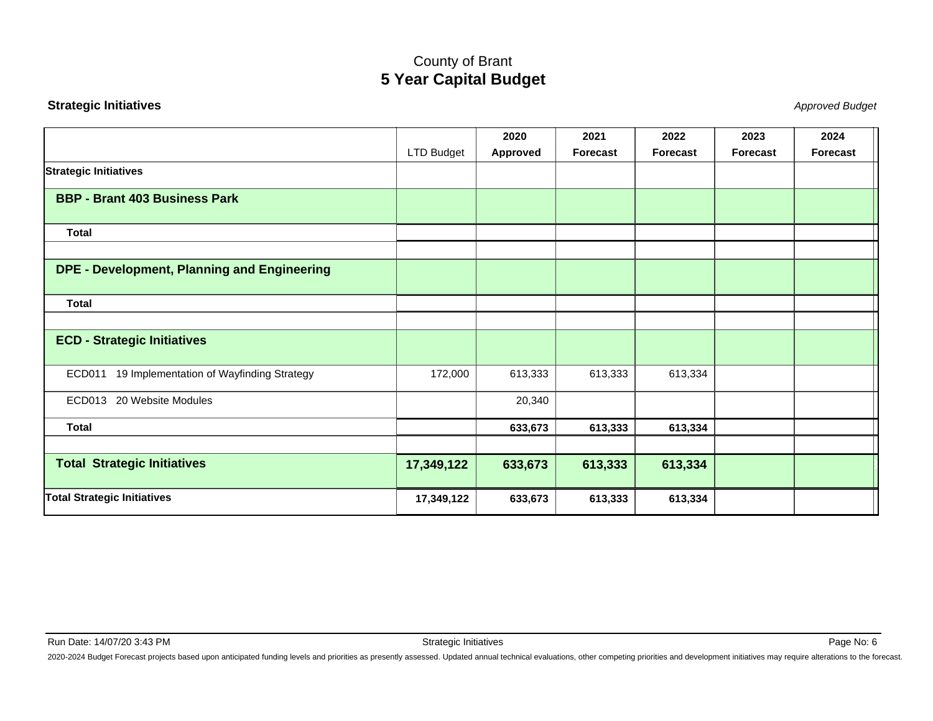#### <span id="page-6-0"></span>**Strategic Initiatives**

Stephend Budget and the set of the set of the set of the set of the set of the set of the set of the set of the set of the set of the set of the set of the set of the set of the set of the set of the set of the set of the

|                                                 |            | 2020     | 2021     | 2022            | 2023            | 2024            |
|-------------------------------------------------|------------|----------|----------|-----------------|-----------------|-----------------|
|                                                 | LTD Budget | Approved | Forecast | <b>Forecast</b> | <b>Forecast</b> | <b>Forecast</b> |
| <b>Strategic Initiatives</b>                    |            |          |          |                 |                 |                 |
| <b>BBP - Brant 403 Business Park</b>            |            |          |          |                 |                 |                 |
| <b>Total</b>                                    |            |          |          |                 |                 |                 |
|                                                 |            |          |          |                 |                 |                 |
| DPE - Development, Planning and Engineering     |            |          |          |                 |                 |                 |
| <b>Total</b>                                    |            |          |          |                 |                 |                 |
|                                                 |            |          |          |                 |                 |                 |
| <b>ECD - Strategic Initiatives</b>              |            |          |          |                 |                 |                 |
| ECD011 19 Implementation of Wayfinding Strategy | 172,000    | 613,333  | 613,333  | 613,334         |                 |                 |
| ECD013 20 Website Modules                       |            | 20,340   |          |                 |                 |                 |
| <b>Total</b>                                    |            | 633,673  | 613,333  | 613,334         |                 |                 |
|                                                 |            |          |          |                 |                 |                 |
| <b>Total Strategic Initiatives</b>              | 17,349,122 | 633,673  | 613,333  | 613,334         |                 |                 |
| <b>Total Strategic Initiatives</b>              | 17,349,122 | 633,673  | 613,333  | 613,334         |                 |                 |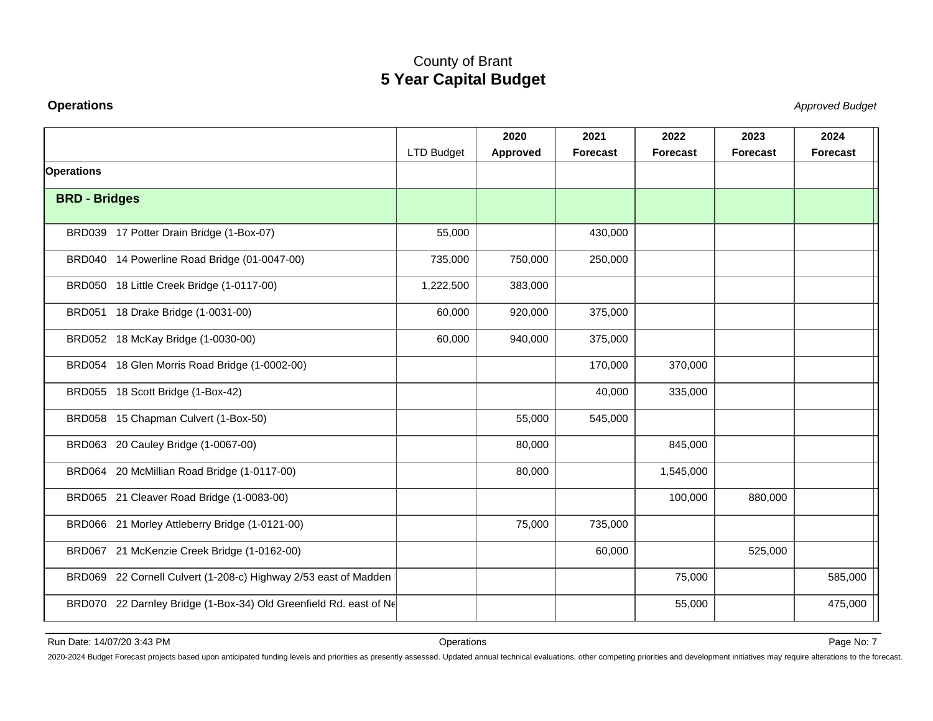#### <span id="page-7-0"></span>**Operations**

Stephend Budget and the set of the set of the set of the set of the set of the set of the set of the set of the set of the set of the set of the set of the set of the set of the set of the set of the set of the set of the

|                      |                                                                   |            | 2020     | 2021            | 2022            | 2023     | 2024            |
|----------------------|-------------------------------------------------------------------|------------|----------|-----------------|-----------------|----------|-----------------|
|                      |                                                                   | LTD Budget | Approved | <b>Forecast</b> | <b>Forecast</b> | Forecast | <b>Forecast</b> |
| <b>Operations</b>    |                                                                   |            |          |                 |                 |          |                 |
| <b>BRD - Bridges</b> |                                                                   |            |          |                 |                 |          |                 |
|                      | BRD039 17 Potter Drain Bridge (1-Box-07)                          | 55,000     |          | 430,000         |                 |          |                 |
|                      |                                                                   |            |          |                 |                 |          |                 |
|                      | BRD040 14 Powerline Road Bridge (01-0047-00)                      | 735,000    | 750,000  | 250,000         |                 |          |                 |
|                      | BRD050 18 Little Creek Bridge (1-0117-00)                         | 1,222,500  | 383,000  |                 |                 |          |                 |
|                      | BRD051 18 Drake Bridge (1-0031-00)                                | 60,000     | 920,000  | 375,000         |                 |          |                 |
|                      | BRD052 18 McKay Bridge (1-0030-00)                                | 60,000     | 940,000  | 375,000         |                 |          |                 |
|                      | BRD054 18 Glen Morris Road Bridge (1-0002-00)                     |            |          | 170,000         | 370,000         |          |                 |
|                      | BRD055 18 Scott Bridge (1-Box-42)                                 |            |          | 40,000          | 335,000         |          |                 |
|                      | BRD058 15 Chapman Culvert (1-Box-50)                              |            | 55,000   | 545,000         |                 |          |                 |
|                      | BRD063 20 Cauley Bridge (1-0067-00)                               |            | 80,000   |                 | 845,000         |          |                 |
|                      | BRD064 20 McMillian Road Bridge (1-0117-00)                       |            | 80,000   |                 | 1,545,000       |          |                 |
|                      | BRD065 21 Cleaver Road Bridge (1-0083-00)                         |            |          |                 | 100,000         | 880,000  |                 |
|                      | BRD066 21 Morley Attleberry Bridge (1-0121-00)                    |            | 75,000   | 735,000         |                 |          |                 |
|                      | BRD067 21 McKenzie Creek Bridge (1-0162-00)                       |            |          | 60,000          |                 | 525,000  |                 |
|                      | BRD069 22 Cornell Culvert (1-208-c) Highway 2/53 east of Madden   |            |          |                 | 75,000          |          | 585,000         |
|                      | BRD070 22 Darnley Bridge (1-Box-34) Old Greenfield Rd. east of Ne |            |          |                 | 55,000          |          | 475,000         |

Run Date: 14/07/20 3:43 PM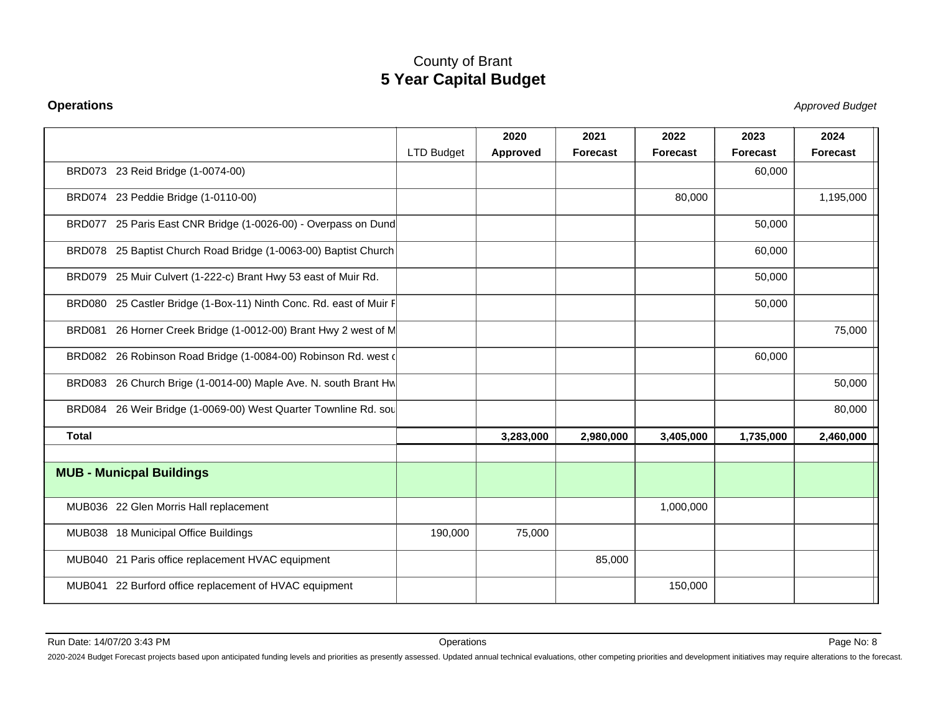#### **Operations**

Stephend Budget and the set of the set of the set of the set of the set of the set of the set of the set of the set of the set of the set of the set of the set of the set of the set of the set of the set of the set of the

|                                                                    |                   | 2020      | 2021            | 2022            | 2023            | 2024            |
|--------------------------------------------------------------------|-------------------|-----------|-----------------|-----------------|-----------------|-----------------|
|                                                                    | <b>LTD Budget</b> | Approved  | <b>Forecast</b> | <b>Forecast</b> | <b>Forecast</b> | <b>Forecast</b> |
| BRD073 23 Reid Bridge (1-0074-00)                                  |                   |           |                 |                 | 60,000          |                 |
| BRD074 23 Peddie Bridge (1-0110-00)                                |                   |           |                 | 80,000          |                 | 1,195,000       |
| BRD077 25 Paris East CNR Bridge (1-0026-00) - Overpass on Dund     |                   |           |                 |                 | 50,000          |                 |
| BRD078 25 Baptist Church Road Bridge (1-0063-00) Baptist Church    |                   |           |                 |                 | 60,000          |                 |
| BRD079 25 Muir Culvert (1-222-c) Brant Hwy 53 east of Muir Rd.     |                   |           |                 |                 | 50,000          |                 |
| BRD080 25 Castler Bridge (1-Box-11) Ninth Conc. Rd. east of Muir F |                   |           |                 |                 | 50,000          |                 |
| BRD081 26 Horner Creek Bridge (1-0012-00) Brant Hwy 2 west of M    |                   |           |                 |                 |                 | 75,000          |
| BRD082 26 Robinson Road Bridge (1-0084-00) Robinson Rd. west (     |                   |           |                 |                 | 60,000          |                 |
| BRD083 26 Church Brige (1-0014-00) Maple Ave. N. south Brant Hw    |                   |           |                 |                 |                 | 50,000          |
| BRD084 26 Weir Bridge (1-0069-00) West Quarter Townline Rd. sou    |                   |           |                 |                 |                 | 80,000          |
| <b>Total</b>                                                       |                   | 3,283,000 | 2,980,000       | 3,405,000       | 1,735,000       | 2,460,000       |
| <b>MUB - Municpal Buildings</b>                                    |                   |           |                 |                 |                 |                 |
| MUB036 22 Glen Morris Hall replacement                             |                   |           |                 | 1,000,000       |                 |                 |
| MUB038 18 Municipal Office Buildings                               | 190,000           | 75,000    |                 |                 |                 |                 |
| MUB040 21 Paris office replacement HVAC equipment                  |                   |           | 85,000          |                 |                 |                 |
| MUB041 22 Burford office replacement of HVAC equipment             |                   |           |                 | 150,000         |                 |                 |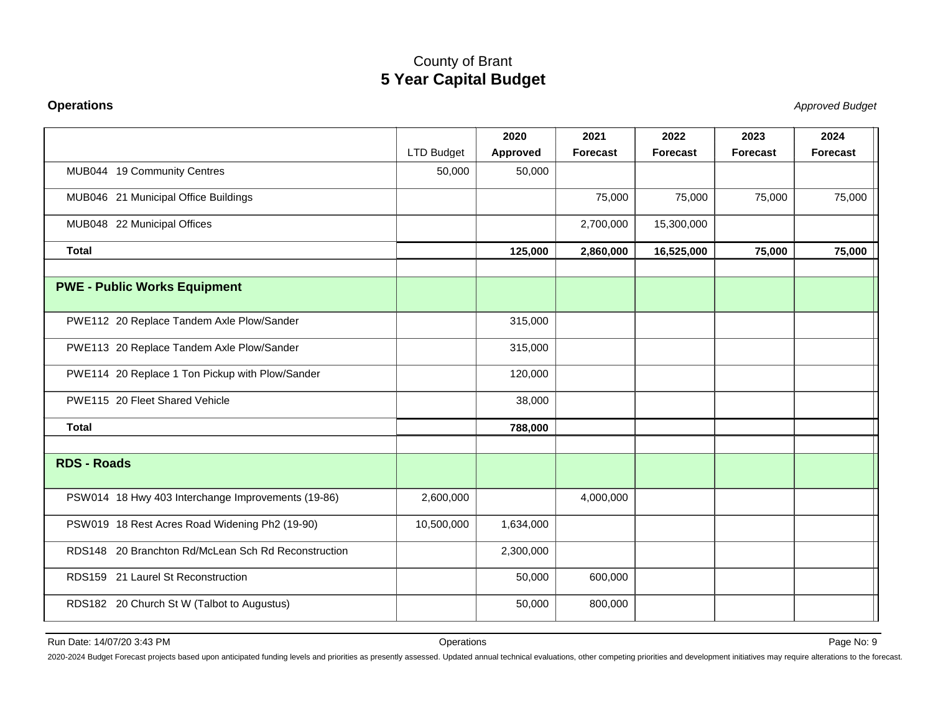#### **Operations**

Stephend Budget and the set of the set of the set of the set of the set of the set of the set of the set of the set of the set of the set of the set of the set of the set of the set of the set of the set of the set of the

|                                                     | LTD Budget | 2020<br><b>Approved</b> | 2021<br><b>Forecast</b> | 2022<br><b>Forecast</b> | 2023<br><b>Forecast</b> | 2024<br><b>Forecast</b> |
|-----------------------------------------------------|------------|-------------------------|-------------------------|-------------------------|-------------------------|-------------------------|
| MUB044 19 Community Centres                         | 50,000     | 50,000                  |                         |                         |                         |                         |
|                                                     |            |                         |                         |                         |                         |                         |
| MUB046 21 Municipal Office Buildings                |            |                         | 75,000                  | 75,000                  | 75,000                  | 75,000                  |
| MUB048 22 Municipal Offices                         |            |                         | 2,700,000               | 15,300,000              |                         |                         |
| <b>Total</b>                                        |            | 125,000                 | 2,860,000               | 16,525,000              | 75,000                  | 75,000                  |
|                                                     |            |                         |                         |                         |                         |                         |
| <b>PWE - Public Works Equipment</b>                 |            |                         |                         |                         |                         |                         |
| PWE112 20 Replace Tandem Axle Plow/Sander           |            | 315,000                 |                         |                         |                         |                         |
| PWE113 20 Replace Tandem Axle Plow/Sander           |            | 315,000                 |                         |                         |                         |                         |
| PWE114 20 Replace 1 Ton Pickup with Plow/Sander     |            | 120,000                 |                         |                         |                         |                         |
| PWE115 20 Fleet Shared Vehicle                      |            | 38,000                  |                         |                         |                         |                         |
| <b>Total</b>                                        |            | 788,000                 |                         |                         |                         |                         |
| <b>RDS - Roads</b>                                  |            |                         |                         |                         |                         |                         |
| PSW014 18 Hwy 403 Interchange Improvements (19-86)  | 2,600,000  |                         | 4,000,000               |                         |                         |                         |
| PSW019 18 Rest Acres Road Widening Ph2 (19-90)      | 10,500,000 | 1,634,000               |                         |                         |                         |                         |
| RDS148 20 Branchton Rd/McLean Sch Rd Reconstruction |            | 2,300,000               |                         |                         |                         |                         |
| RDS159 21 Laurel St Reconstruction                  |            | 50,000                  | 600,000                 |                         |                         |                         |
| RDS182 20 Church St W (Talbot to Augustus)          |            | 50,000                  | 800,000                 |                         |                         |                         |

Run Date: 14/07/20 3:43 PM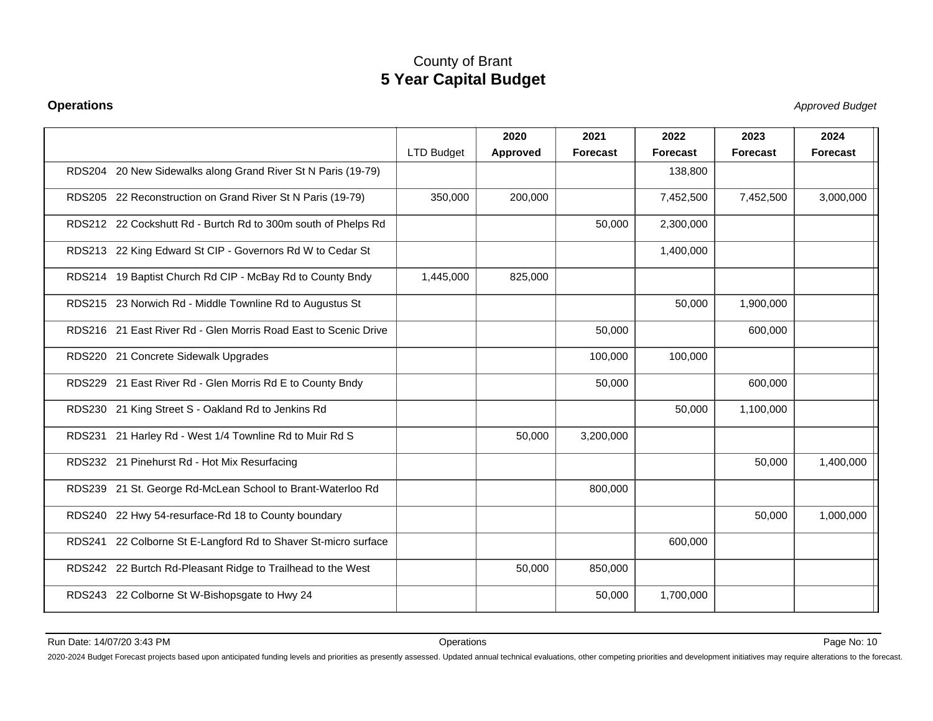#### **Operations**

Stephend Budget and the set of the set of the set of the set of the set of the set of the set of the set of the set of the set of the set of the set of the set of the set of the set of the set of the set of the set of the

|                                                                 |                   | 2020     | 2021            | 2022            | 2023            | 2024            |
|-----------------------------------------------------------------|-------------------|----------|-----------------|-----------------|-----------------|-----------------|
|                                                                 | <b>LTD Budget</b> | Approved | <b>Forecast</b> | <b>Forecast</b> | <b>Forecast</b> | <b>Forecast</b> |
| RDS204 20 New Sidewalks along Grand River St N Paris (19-79)    |                   |          |                 | 138,800         |                 |                 |
| RDS205 22 Reconstruction on Grand River St N Paris (19-79)      | 350,000           | 200,000  |                 | 7,452,500       | 7,452,500       | 3,000,000       |
| RDS212 22 Cockshutt Rd - Burtch Rd to 300m south of Phelps Rd   |                   |          | 50,000          | 2,300,000       |                 |                 |
| RDS213 22 King Edward St CIP - Governors Rd W to Cedar St       |                   |          |                 | 1,400,000       |                 |                 |
| RDS214 19 Baptist Church Rd CIP - McBay Rd to County Bndy       | 1,445,000         | 825,000  |                 |                 |                 |                 |
| RDS215 23 Norwich Rd - Middle Townline Rd to Augustus St        |                   |          |                 | 50,000          | 1,900,000       |                 |
| RDS216 21 East River Rd - Glen Morris Road East to Scenic Drive |                   |          | 50,000          |                 | 600,000         |                 |
| RDS220 21 Concrete Sidewalk Upgrades                            |                   |          | 100,000         | 100,000         |                 |                 |
| RDS229 21 East River Rd - Glen Morris Rd E to County Bndy       |                   |          | 50,000          |                 | 600,000         |                 |
| RDS230 21 King Street S - Oakland Rd to Jenkins Rd              |                   |          |                 | 50,000          | 1,100,000       |                 |
| RDS231 21 Harley Rd - West 1/4 Townline Rd to Muir Rd S         |                   | 50,000   | 3,200,000       |                 |                 |                 |
| RDS232 21 Pinehurst Rd - Hot Mix Resurfacing                    |                   |          |                 |                 | 50,000          | 1,400,000       |
| RDS239 21 St. George Rd-McLean School to Brant-Waterloo Rd      |                   |          | 800,000         |                 |                 |                 |
| RDS240 22 Hwy 54-resurface-Rd 18 to County boundary             |                   |          |                 |                 | 50,000          | 1,000,000       |
| RDS241 22 Colborne St E-Langford Rd to Shaver St-micro surface  |                   |          |                 | 600,000         |                 |                 |
| RDS242 22 Burtch Rd-Pleasant Ridge to Trailhead to the West     |                   | 50,000   | 850,000         |                 |                 |                 |
| RDS243 22 Colborne St W-Bishopsgate to Hwy 24                   |                   |          | 50,000          | 1,700,000       |                 |                 |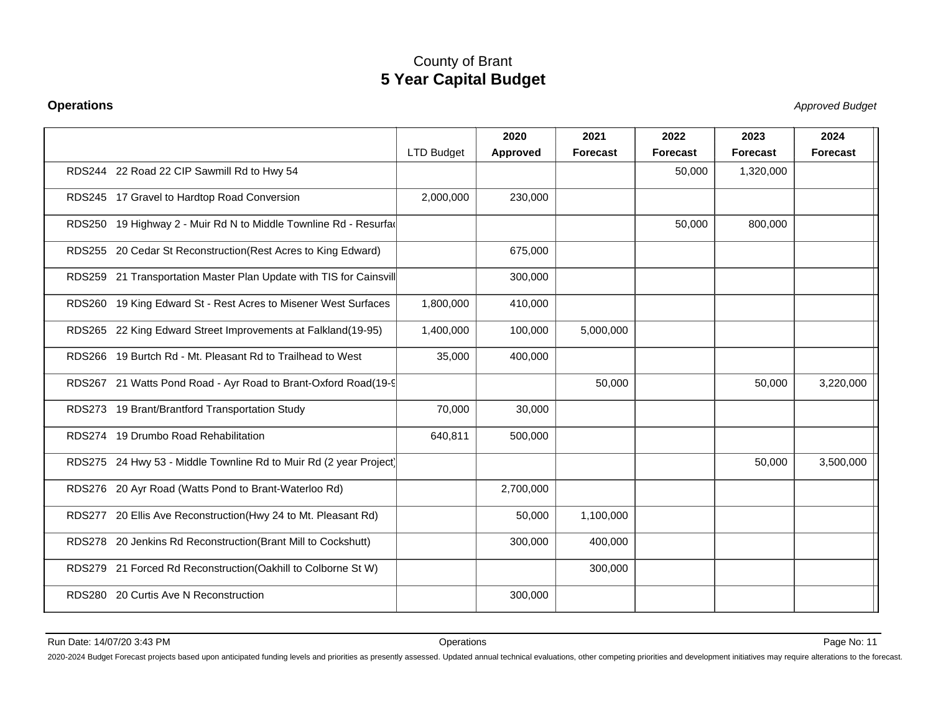#### **Operations**

Stephend Budget and the set of the set of the set of the set of the set of the set of the set of the set of the set of the set of the set of the set of the set of the set of the set of the set of the set of the set of the

|                                                                    |                   | 2020      | 2021            | 2022            | 2023      | 2024            |
|--------------------------------------------------------------------|-------------------|-----------|-----------------|-----------------|-----------|-----------------|
|                                                                    | <b>LTD Budget</b> | Approved  | <b>Forecast</b> | <b>Forecast</b> | Forecast  | <b>Forecast</b> |
| RDS244 22 Road 22 CIP Sawmill Rd to Hwy 54                         |                   |           |                 | 50,000          | 1,320,000 |                 |
| RDS245 17 Gravel to Hardtop Road Conversion                        | 2,000,000         | 230,000   |                 |                 |           |                 |
| RDS250 19 Highway 2 - Muir Rd N to Middle Townline Rd - Resurfac   |                   |           |                 | 50,000          | 800,000   |                 |
| RDS255 20 Cedar St Reconstruction (Rest Acres to King Edward)      |                   | 675,000   |                 |                 |           |                 |
| RDS259 21 Transportation Master Plan Update with TIS for Cainsvill |                   | 300,000   |                 |                 |           |                 |
| RDS260 19 King Edward St - Rest Acres to Misener West Surfaces     | 1,800,000         | 410,000   |                 |                 |           |                 |
| RDS265 22 King Edward Street Improvements at Falkland(19-95)       | 1,400,000         | 100,000   | 5,000,000       |                 |           |                 |
| RDS266 19 Burtch Rd - Mt. Pleasant Rd to Trailhead to West         | 35,000            | 400,000   |                 |                 |           |                 |
| RDS267 21 Watts Pond Road - Ayr Road to Brant-Oxford Road(19-9)    |                   |           | 50,000          |                 | 50,000    | 3,220,000       |
| RDS273 19 Brant/Brantford Transportation Study                     | 70,000            | 30,000    |                 |                 |           |                 |
| RDS274 19 Drumbo Road Rehabilitation                               | 640,811           | 500,000   |                 |                 |           |                 |
| RDS275 24 Hwy 53 - Middle Townline Rd to Muir Rd (2 year Project)  |                   |           |                 |                 | 50,000    | 3,500,000       |
| RDS276 20 Ayr Road (Watts Pond to Brant-Waterloo Rd)               |                   | 2,700,000 |                 |                 |           |                 |
| RDS277 20 Ellis Ave Reconstruction(Hwy 24 to Mt. Pleasant Rd)      |                   | 50,000    | 1,100,000       |                 |           |                 |
| RDS278 20 Jenkins Rd Reconstruction (Brant Mill to Cockshutt)      |                   | 300,000   | 400,000         |                 |           |                 |
| RDS279 21 Forced Rd Reconstruction(Oakhill to Colborne St W)       |                   |           | 300,000         |                 |           |                 |
| RDS280 20 Curtis Ave N Reconstruction                              |                   | 300,000   |                 |                 |           |                 |
|                                                                    |                   |           |                 |                 |           |                 |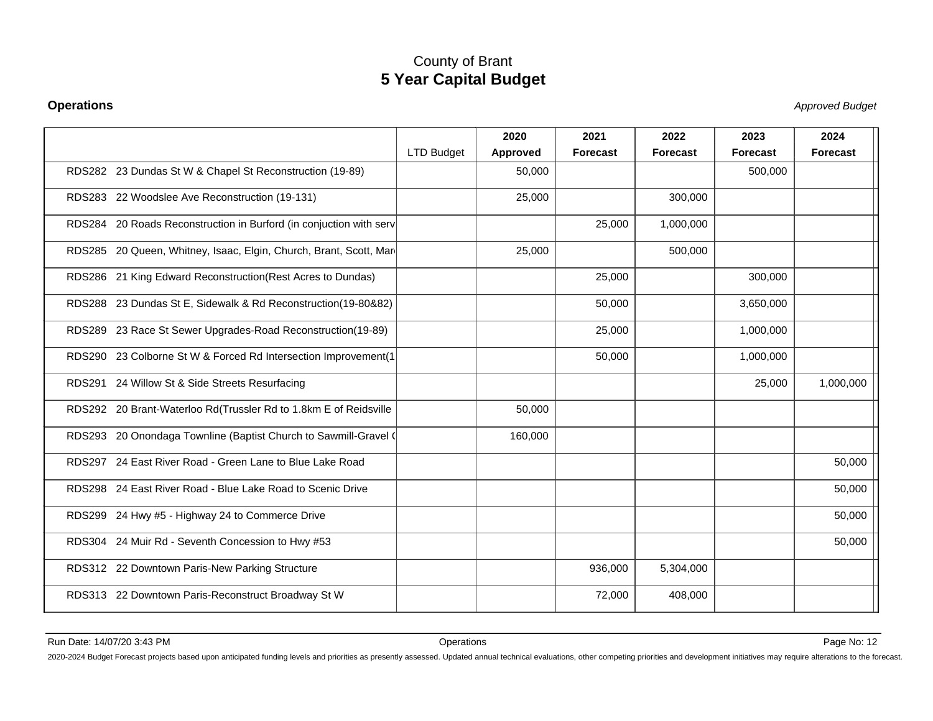#### **Operations**

Stephend Budget and the set of the set of the set of the set of the set of the set of the set of the set of the set of the set of the set of the set of the set of the set of the set of the set of the set of the set of the

|                                                                    |                   | 2020     | 2021            | 2022            | 2023      | 2024            |
|--------------------------------------------------------------------|-------------------|----------|-----------------|-----------------|-----------|-----------------|
|                                                                    | <b>LTD Budget</b> | Approved | <b>Forecast</b> | <b>Forecast</b> | Forecast  | <b>Forecast</b> |
| RDS282 23 Dundas St W & Chapel St Reconstruction (19-89)           |                   | 50,000   |                 |                 | 500,000   |                 |
| RDS283 22 Woodslee Ave Reconstruction (19-131)                     |                   | 25,000   |                 | 300,000         |           |                 |
| RDS284 20 Roads Reconstruction in Burford (in conjuction with serv |                   |          | 25,000          | 1,000,000       |           |                 |
| RDS285 20 Queen, Whitney, Isaac, Elgin, Church, Brant, Scott, Mar  |                   | 25,000   |                 | 500,000         |           |                 |
| RDS286 21 King Edward Reconstruction (Rest Acres to Dundas)        |                   |          | 25,000          |                 | 300,000   |                 |
| RDS288 23 Dundas St E, Sidewalk & Rd Reconstruction(19-80&82)      |                   |          | 50,000          |                 | 3,650,000 |                 |
| RDS289 23 Race St Sewer Upgrades-Road Reconstruction(19-89)        |                   |          | 25,000          |                 | 1,000,000 |                 |
| RDS290 23 Colborne St W & Forced Rd Intersection Improvement(1     |                   |          | 50,000          |                 | 1,000,000 |                 |
| RDS291 24 Willow St & Side Streets Resurfacing                     |                   |          |                 |                 | 25,000    | 1,000,000       |
| RDS292 20 Brant-Waterloo Rd(Trussler Rd to 1.8km E of Reidsville   |                   | 50,000   |                 |                 |           |                 |
| RDS293 20 Onondaga Townline (Baptist Church to Sawmill-Gravel (    |                   | 160,000  |                 |                 |           |                 |
| RDS297 24 East River Road - Green Lane to Blue Lake Road           |                   |          |                 |                 |           | 50,000          |
| RDS298 24 East River Road - Blue Lake Road to Scenic Drive         |                   |          |                 |                 |           | 50,000          |
| RDS299 24 Hwy #5 - Highway 24 to Commerce Drive                    |                   |          |                 |                 |           | 50,000          |
| RDS304 24 Muir Rd - Seventh Concession to Hwy #53                  |                   |          |                 |                 |           | 50,000          |
| RDS312 22 Downtown Paris-New Parking Structure                     |                   |          | 936,000         | 5,304,000       |           |                 |
| RDS313 22 Downtown Paris-Reconstruct Broadway St W                 |                   |          | 72,000          | 408,000         |           |                 |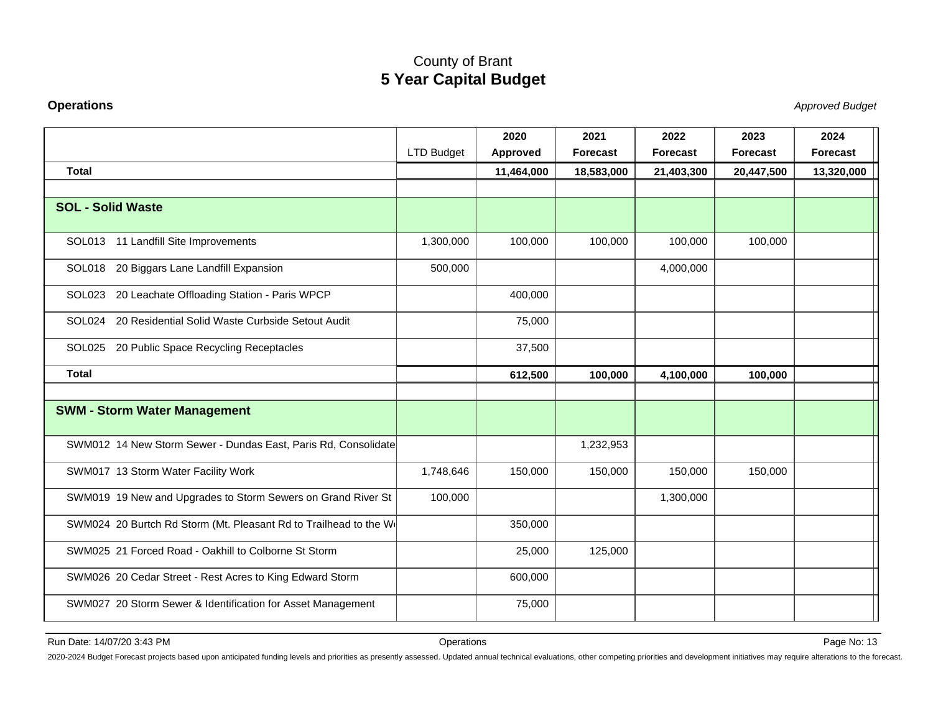#### **Operations**

Stephend Budget and the set of the set of the set of the set of the set of the set of the set of the set of the set of the set of the set of the set of the set of the set of the set of the set of the set of the set of the

|                                                                  | <b>LTD Budget</b> | 2020<br>Approved | 2021<br><b>Forecast</b> | 2022<br>Forecast | 2023<br><b>Forecast</b> | 2024<br>Forecast |
|------------------------------------------------------------------|-------------------|------------------|-------------------------|------------------|-------------------------|------------------|
| <b>Total</b>                                                     |                   | 11,464,000       | 18,583,000              | 21,403,300       | 20,447,500              | 13,320,000       |
|                                                                  |                   |                  |                         |                  |                         |                  |
| <b>SOL - Solid Waste</b>                                         |                   |                  |                         |                  |                         |                  |
| SOL013 11 Landfill Site Improvements                             | 1,300,000         | 100,000          | 100,000                 | 100,000          | 100,000                 |                  |
| SOL018 20 Biggars Lane Landfill Expansion                        | 500,000           |                  |                         | 4,000,000        |                         |                  |
| SOL023 20 Leachate Offloading Station - Paris WPCP               |                   | 400,000          |                         |                  |                         |                  |
| SOL024 20 Residential Solid Waste Curbside Setout Audit          |                   | 75,000           |                         |                  |                         |                  |
| SOL025 20 Public Space Recycling Receptacles                     |                   | 37,500           |                         |                  |                         |                  |
| <b>Total</b>                                                     |                   | 612,500          | 100,000                 | 4,100,000        | 100,000                 |                  |
|                                                                  |                   |                  |                         |                  |                         |                  |
| <b>SWM - Storm Water Management</b>                              |                   |                  |                         |                  |                         |                  |
| SWM012 14 New Storm Sewer - Dundas East, Paris Rd, Consolidate   |                   |                  | 1,232,953               |                  |                         |                  |
| SWM017 13 Storm Water Facility Work                              | 1,748,646         | 150,000          | 150,000                 | 150,000          | 150,000                 |                  |
| SWM019 19 New and Upgrades to Storm Sewers on Grand River St     | 100,000           |                  |                         | 1,300,000        |                         |                  |
| SWM024 20 Burtch Rd Storm (Mt. Pleasant Rd to Trailhead to the W |                   | 350,000          |                         |                  |                         |                  |
| SWM025 21 Forced Road - Oakhill to Colborne St Storm             |                   | 25,000           | 125,000                 |                  |                         |                  |
| SWM026 20 Cedar Street - Rest Acres to King Edward Storm         |                   | 600,000          |                         |                  |                         |                  |
| SWM027 20 Storm Sewer & Identification for Asset Management      |                   | 75,000           |                         |                  |                         |                  |

Run Date: 14/07/20 3:43 PM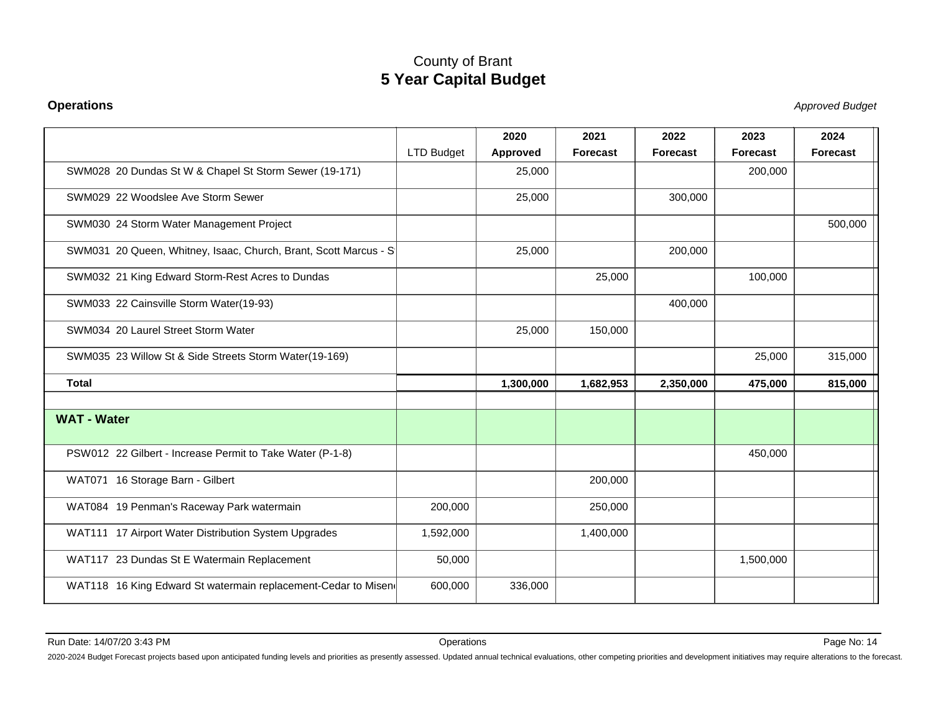#### **Operations**

Stephend Budget and the set of the set of the set of the set of the set of the set of the set of the set of the set of the set of the set of the set of the set of the set of the set of the set of the set of the set of the

|                                                                  |                   | 2020      | 2021            | 2022            | 2023      | 2024            |
|------------------------------------------------------------------|-------------------|-----------|-----------------|-----------------|-----------|-----------------|
|                                                                  | <b>LTD Budget</b> | Approved  | <b>Forecast</b> | <b>Forecast</b> | Forecast  | <b>Forecast</b> |
| SWM028 20 Dundas St W & Chapel St Storm Sewer (19-171)           |                   | 25,000    |                 |                 | 200,000   |                 |
| SWM029 22 Woodslee Ave Storm Sewer                               |                   | 25,000    |                 | 300,000         |           |                 |
| SWM030 24 Storm Water Management Project                         |                   |           |                 |                 |           | 500,000         |
| SWM031 20 Queen, Whitney, Isaac, Church, Brant, Scott Marcus - S |                   | 25,000    |                 | 200,000         |           |                 |
| SWM032 21 King Edward Storm-Rest Acres to Dundas                 |                   |           | 25,000          |                 | 100,000   |                 |
| SWM033 22 Cainsville Storm Water(19-93)                          |                   |           |                 | 400,000         |           |                 |
| SWM034 20 Laurel Street Storm Water                              |                   | 25,000    | 150,000         |                 |           |                 |
| SWM035 23 Willow St & Side Streets Storm Water(19-169)           |                   |           |                 |                 | 25,000    | 315,000         |
| <b>Total</b>                                                     |                   | 1,300,000 | 1,682,953       | 2,350,000       | 475,000   | 815,000         |
| <b>WAT - Water</b>                                               |                   |           |                 |                 |           |                 |
| PSW012 22 Gilbert - Increase Permit to Take Water (P-1-8)        |                   |           |                 |                 | 450,000   |                 |
| WAT071 16 Storage Barn - Gilbert                                 |                   |           | 200,000         |                 |           |                 |
| WAT084 19 Penman's Raceway Park watermain                        | 200,000           |           | 250,000         |                 |           |                 |
| WAT111 17 Airport Water Distribution System Upgrades             | 1,592,000         |           | 1,400,000       |                 |           |                 |
| WAT117 23 Dundas St E Watermain Replacement                      | 50,000            |           |                 |                 | 1,500,000 |                 |
| WAT118 16 King Edward St watermain replacement-Cedar to Misen    | 600,000           | 336,000   |                 |                 |           |                 |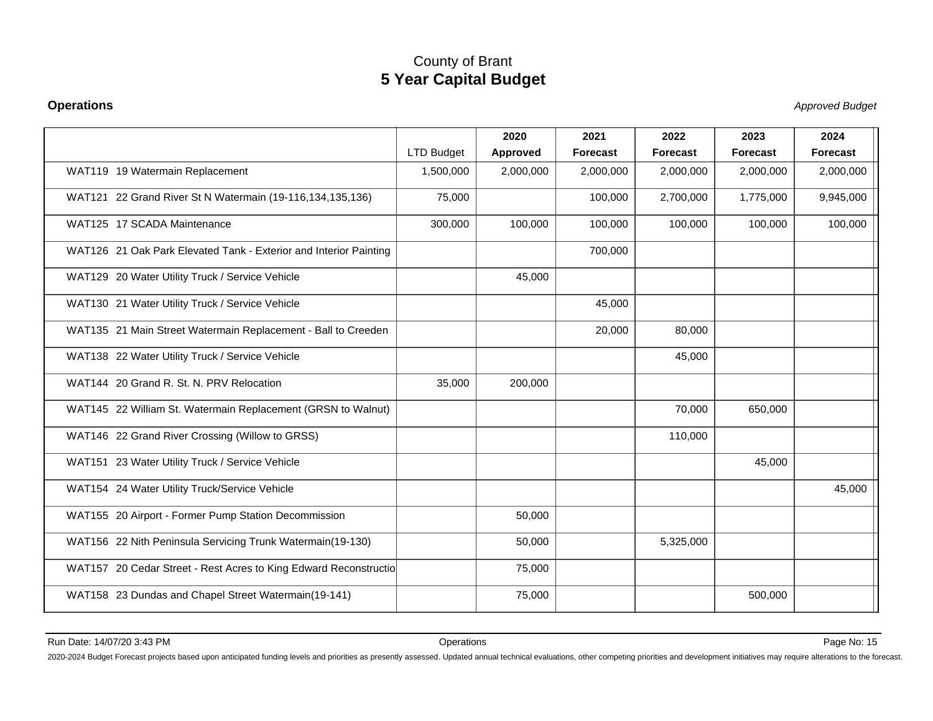#### **Operations**

Stephend Budget and the set of the set of the set of the set of the set of the set of the set of the set of the set of the set of the set of the set of the set of the set of the set of the set of the set of the set of the

|                                                                   | <b>LTD Budget</b> | 2020<br>Approved | 2021<br>Forecast | 2022<br><b>Forecast</b> | 2023<br><b>Forecast</b> | 2024<br><b>Forecast</b> |
|-------------------------------------------------------------------|-------------------|------------------|------------------|-------------------------|-------------------------|-------------------------|
| WAT119 19 Watermain Replacement                                   | 1,500,000         | 2,000,000        | 2,000,000        | 2,000,000               | 2,000,000               | 2,000,000               |
| WAT121 22 Grand River St N Watermain (19-116, 134, 135, 136)      | 75,000            |                  | 100,000          | 2,700,000               | 1,775,000               | 9,945,000               |
| WAT125 17 SCADA Maintenance                                       | 300,000           | 100,000          | 100,000          | 100,000                 | 100,000                 | 100,000                 |
| WAT126 21 Oak Park Elevated Tank - Exterior and Interior Painting |                   |                  | 700,000          |                         |                         |                         |
| WAT129 20 Water Utility Truck / Service Vehicle                   |                   | 45,000           |                  |                         |                         |                         |
| WAT130 21 Water Utility Truck / Service Vehicle                   |                   |                  | 45.000           |                         |                         |                         |
| WAT135 21 Main Street Watermain Replacement - Ball to Creeden     |                   |                  | 20,000           | 80,000                  |                         |                         |
| WAT138 22 Water Utility Truck / Service Vehicle                   |                   |                  |                  | 45,000                  |                         |                         |
| WAT144 20 Grand R. St. N. PRV Relocation                          | 35,000            | 200,000          |                  |                         |                         |                         |
| WAT145 22 William St. Watermain Replacement (GRSN to Walnut)      |                   |                  |                  | 70,000                  | 650,000                 |                         |
| WAT146 22 Grand River Crossing (Willow to GRSS)                   |                   |                  |                  | 110,000                 |                         |                         |
| WAT151 23 Water Utility Truck / Service Vehicle                   |                   |                  |                  |                         | 45,000                  |                         |
| WAT154 24 Water Utility Truck/Service Vehicle                     |                   |                  |                  |                         |                         | 45,000                  |
| WAT155 20 Airport - Former Pump Station Decommission              |                   | 50,000           |                  |                         |                         |                         |
| WAT156 22 Nith Peninsula Servicing Trunk Watermain(19-130)        |                   | 50,000           |                  | 5,325,000               |                         |                         |
| WAT157 20 Cedar Street - Rest Acres to King Edward Reconstructio  |                   | 75,000           |                  |                         |                         |                         |
| WAT158 23 Dundas and Chapel Street Watermain(19-141)              |                   | 75,000           |                  |                         | 500,000                 |                         |
|                                                                   |                   |                  |                  |                         |                         |                         |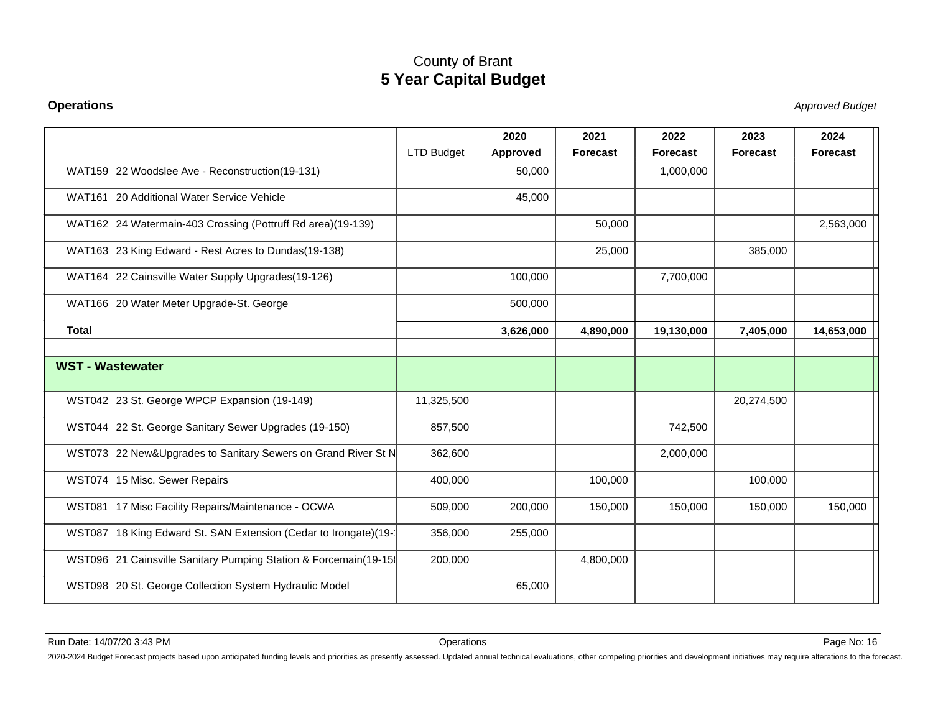#### **Operations**

Stephend Budget and the set of the set of the set of the set of the set of the set of the set of the set of the set of the set of the set of the set of the set of the set of the set of the set of the set of the set of the

|                                                                 |                   | 2020      | 2021            | 2022       | 2023            | 2024       |
|-----------------------------------------------------------------|-------------------|-----------|-----------------|------------|-----------------|------------|
|                                                                 | <b>LTD Budget</b> | Approved  | <b>Forecast</b> | Forecast   | <b>Forecast</b> | Forecast   |
| WAT159 22 Woodslee Ave - Reconstruction(19-131)                 |                   | 50,000    |                 | 1,000,000  |                 |            |
| WAT161 20 Additional Water Service Vehicle                      |                   | 45,000    |                 |            |                 |            |
| WAT162 24 Watermain-403 Crossing (Pottruff Rd area)(19-139)     |                   |           | 50,000          |            |                 | 2,563,000  |
| WAT163 23 King Edward - Rest Acres to Dundas(19-138)            |                   |           | 25,000          |            | 385,000         |            |
| WAT164 22 Cainsville Water Supply Upgrades(19-126)              |                   | 100,000   |                 | 7,700,000  |                 |            |
| WAT166 20 Water Meter Upgrade-St. George                        |                   | 500,000   |                 |            |                 |            |
| <b>Total</b>                                                    |                   | 3,626,000 | 4,890,000       | 19,130,000 | 7,405,000       | 14,653,000 |
|                                                                 |                   |           |                 |            |                 |            |
| <b>WST - Wastewater</b>                                         |                   |           |                 |            |                 |            |
| WST042 23 St. George WPCP Expansion (19-149)                    | 11,325,500        |           |                 |            | 20,274,500      |            |
| WST044 22 St. George Sanitary Sewer Upgrades (19-150)           | 857,500           |           |                 | 742,500    |                 |            |
| WST073 22 New&Upgrades to Sanitary Sewers on Grand River St N   | 362,600           |           |                 | 2,000,000  |                 |            |
| WST074 15 Misc. Sewer Repairs                                   | 400,000           |           | 100,000         |            | 100,000         |            |
| WST081 17 Misc Facility Repairs/Maintenance - OCWA              | 509,000           | 200,000   | 150,000         | 150,000    | 150,000         | 150,000    |
| WST087 18 King Edward St. SAN Extension (Cedar to Irongate)(19- | 356,000           | 255,000   |                 |            |                 |            |
| WST096 21 Cainsville Sanitary Pumping Station & Forcemain(19-15 | 200,000           |           | 4,800,000       |            |                 |            |
| WST098 20 St. George Collection System Hydraulic Model          |                   | 65,000    |                 |            |                 |            |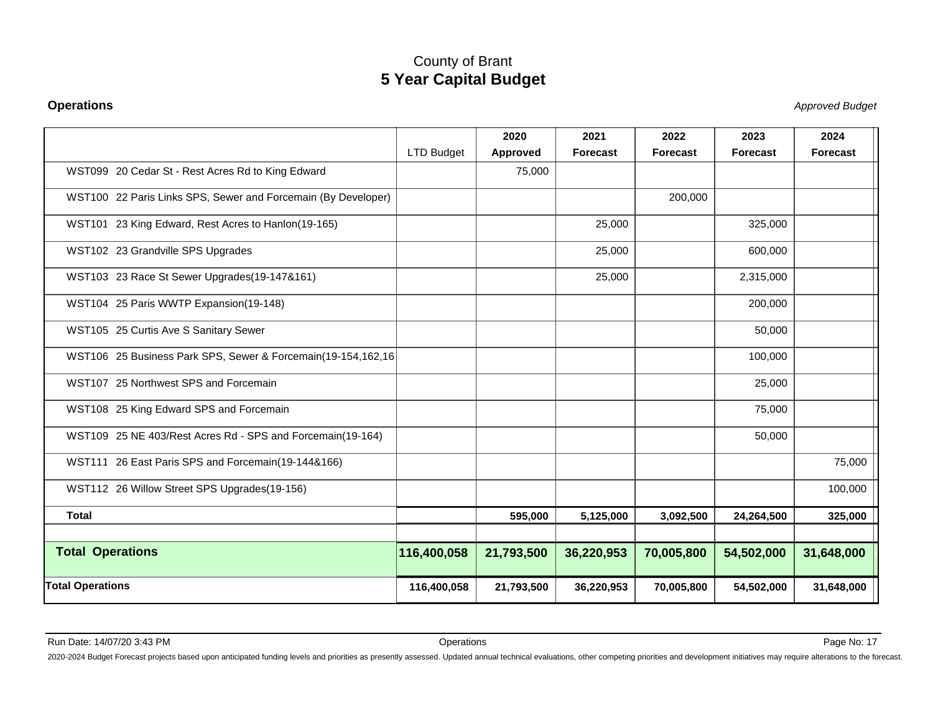#### **Operations**

Stephend Budget and the set of the set of the set of the set of the set of the set of the set of the set of the set of the set of the set of the set of the set of the set of the set of the set of the set of the set of the

|                                                               |             | 2020            | 2021            | 2022            | 2023            | 2024       |
|---------------------------------------------------------------|-------------|-----------------|-----------------|-----------------|-----------------|------------|
|                                                               | LTD Budget  | <b>Approved</b> | <b>Forecast</b> | <b>Forecast</b> | <b>Forecast</b> | Forecast   |
| WST099 20 Cedar St - Rest Acres Rd to King Edward             |             | 75,000          |                 |                 |                 |            |
| WST100 22 Paris Links SPS, Sewer and Forcemain (By Developer) |             |                 |                 | 200,000         |                 |            |
| WST101 23 King Edward, Rest Acres to Hanlon(19-165)           |             |                 | 25,000          |                 | 325,000         |            |
| WST102 23 Grandville SPS Upgrades                             |             |                 | 25,000          |                 | 600,000         |            |
| WST103 23 Race St Sewer Upgrades(19-147&161)                  |             |                 | 25,000          |                 | 2,315,000       |            |
| WST104 25 Paris WWTP Expansion(19-148)                        |             |                 |                 |                 | 200,000         |            |
| WST105 25 Curtis Ave S Sanitary Sewer                         |             |                 |                 |                 | 50,000          |            |
| WST106 25 Business Park SPS, Sewer & Forcemain(19-154,162,16) |             |                 |                 |                 | 100,000         |            |
| WST107 25 Northwest SPS and Forcemain                         |             |                 |                 |                 | 25,000          |            |
| WST108 25 King Edward SPS and Forcemain                       |             |                 |                 |                 | 75,000          |            |
| WST109 25 NE 403/Rest Acres Rd - SPS and Forcemain(19-164)    |             |                 |                 |                 | 50,000          |            |
| WST111 26 East Paris SPS and Forcemain(19-144&166)            |             |                 |                 |                 |                 | 75,000     |
| WST112 26 Willow Street SPS Upgrades(19-156)                  |             |                 |                 |                 |                 | 100,000    |
| <b>Total</b>                                                  |             | 595,000         | 5,125,000       | 3,092,500       | 24,264,500      | 325,000    |
| <b>Total Operations</b>                                       | 116,400,058 | 21,793,500      | 36,220,953      | 70,005,800      | 54,502,000      | 31,648,000 |
| <b>Total Operations</b>                                       | 116,400,058 | 21,793,500      | 36,220,953      | 70,005,800      | 54,502,000      | 31,648,000 |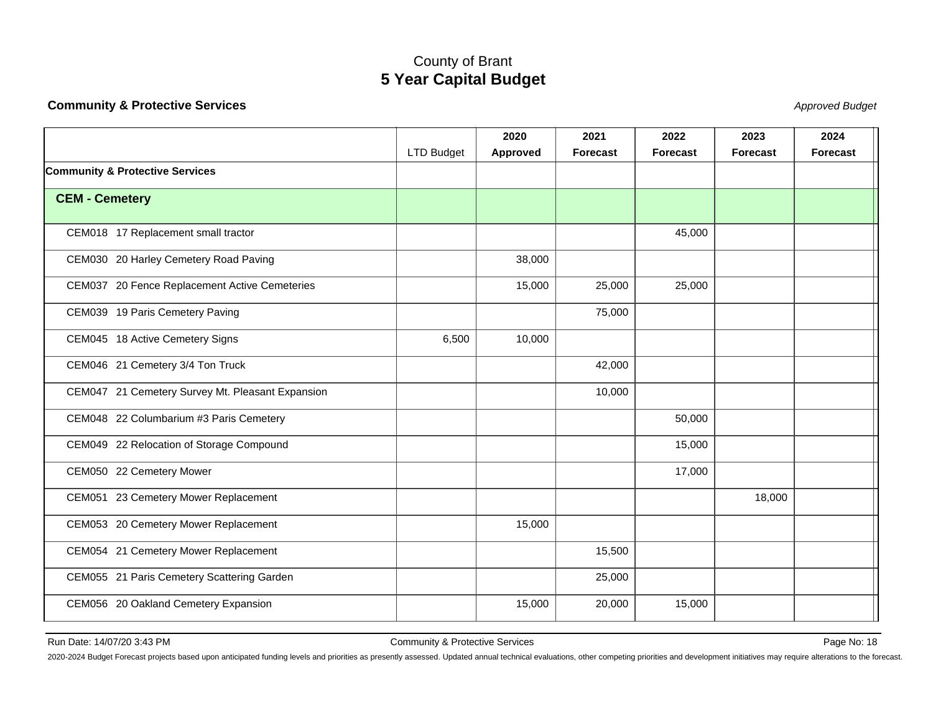#### <span id="page-18-0"></span>**Community & Protective Services**

State of the contract of the contract of the contract of the contract of the contract of the contract of the contract of the contract of the contract of the contract of the contract of the contract of the contract of the c

|                                                  |                   | 2020     | 2021     | 2022            | 2023     | 2024            |
|--------------------------------------------------|-------------------|----------|----------|-----------------|----------|-----------------|
|                                                  | <b>LTD Budget</b> | Approved | Forecast | <b>Forecast</b> | Forecast | <b>Forecast</b> |
| <b>Community &amp; Protective Services</b>       |                   |          |          |                 |          |                 |
| <b>CEM - Cemetery</b>                            |                   |          |          |                 |          |                 |
|                                                  |                   |          |          |                 |          |                 |
| CEM018 17 Replacement small tractor              |                   |          |          | 45,000          |          |                 |
| CEM030 20 Harley Cemetery Road Paving            |                   | 38,000   |          |                 |          |                 |
| CEM037 20 Fence Replacement Active Cemeteries    |                   | 15,000   | 25,000   | 25,000          |          |                 |
| CEM039 19 Paris Cemetery Paving                  |                   |          | 75,000   |                 |          |                 |
| CEM045 18 Active Cemetery Signs                  | 6,500             | 10,000   |          |                 |          |                 |
| CEM046 21 Cemetery 3/4 Ton Truck                 |                   |          | 42,000   |                 |          |                 |
| CEM047 21 Cemetery Survey Mt. Pleasant Expansion |                   |          | 10,000   |                 |          |                 |
| CEM048 22 Columbarium #3 Paris Cemetery          |                   |          |          | 50,000          |          |                 |
| CEM049 22 Relocation of Storage Compound         |                   |          |          | 15,000          |          |                 |
| CEM050 22 Cemetery Mower                         |                   |          |          | 17,000          |          |                 |
| CEM051 23 Cemetery Mower Replacement             |                   |          |          |                 | 18,000   |                 |
| CEM053 20 Cemetery Mower Replacement             |                   | 15,000   |          |                 |          |                 |
| CEM054 21 Cemetery Mower Replacement             |                   |          | 15,500   |                 |          |                 |
| CEM055 21 Paris Cemetery Scattering Garden       |                   |          | 25,000   |                 |          |                 |
| CEM056 20 Oakland Cemetery Expansion             |                   | 15,000   | 20,000   | 15,000          |          |                 |
|                                                  |                   |          |          |                 |          |                 |

Run Date: 14/07/20 3:43 PM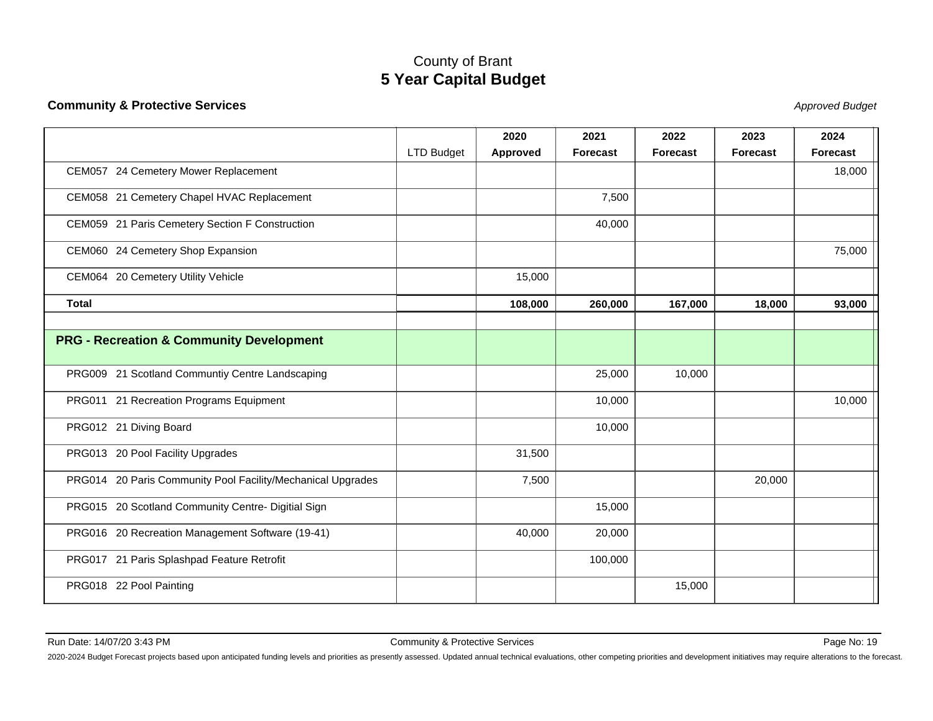#### **Community & Protective Services**

State of the contract of the contract of the contract of the contract of the contract of the contract of the contract of the contract of the contract of the contract of the contract of the contract of the contract of the c

|                                                             |                   | 2020     | 2021            | 2022            | 2023            | 2024     |
|-------------------------------------------------------------|-------------------|----------|-----------------|-----------------|-----------------|----------|
|                                                             | <b>LTD Budget</b> | Approved | <b>Forecast</b> | <b>Forecast</b> | <b>Forecast</b> | Forecast |
| CEM057 24 Cemetery Mower Replacement                        |                   |          |                 |                 |                 | 18,000   |
| CEM058 21 Cemetery Chapel HVAC Replacement                  |                   |          | 7,500           |                 |                 |          |
| CEM059 21 Paris Cemetery Section F Construction             |                   |          | 40,000          |                 |                 |          |
| CEM060 24 Cemetery Shop Expansion                           |                   |          |                 |                 |                 | 75,000   |
| CEM064 20 Cemetery Utility Vehicle                          |                   | 15,000   |                 |                 |                 |          |
| <b>Total</b>                                                |                   | 108,000  | 260,000         | 167,000         | 18,000          | 93,000   |
|                                                             |                   |          |                 |                 |                 |          |
| <b>PRG - Recreation &amp; Community Development</b>         |                   |          |                 |                 |                 |          |
| PRG009 21 Scotland Communtiy Centre Landscaping             |                   |          | 25,000          | 10,000          |                 |          |
| PRG011 21 Recreation Programs Equipment                     |                   |          | 10,000          |                 |                 | 10,000   |
| PRG012 21 Diving Board                                      |                   |          | 10,000          |                 |                 |          |
| PRG013 20 Pool Facility Upgrades                            |                   | 31,500   |                 |                 |                 |          |
| PRG014 20 Paris Community Pool Facility/Mechanical Upgrades |                   | 7,500    |                 |                 | 20,000          |          |
| PRG015 20 Scotland Community Centre- Digitial Sign          |                   |          | 15,000          |                 |                 |          |
| PRG016 20 Recreation Management Software (19-41)            |                   | 40,000   | 20,000          |                 |                 |          |
| PRG017 21 Paris Splashpad Feature Retrofit                  |                   |          | 100,000         |                 |                 |          |
| PRG018 22 Pool Painting                                     |                   |          |                 | 15,000          |                 |          |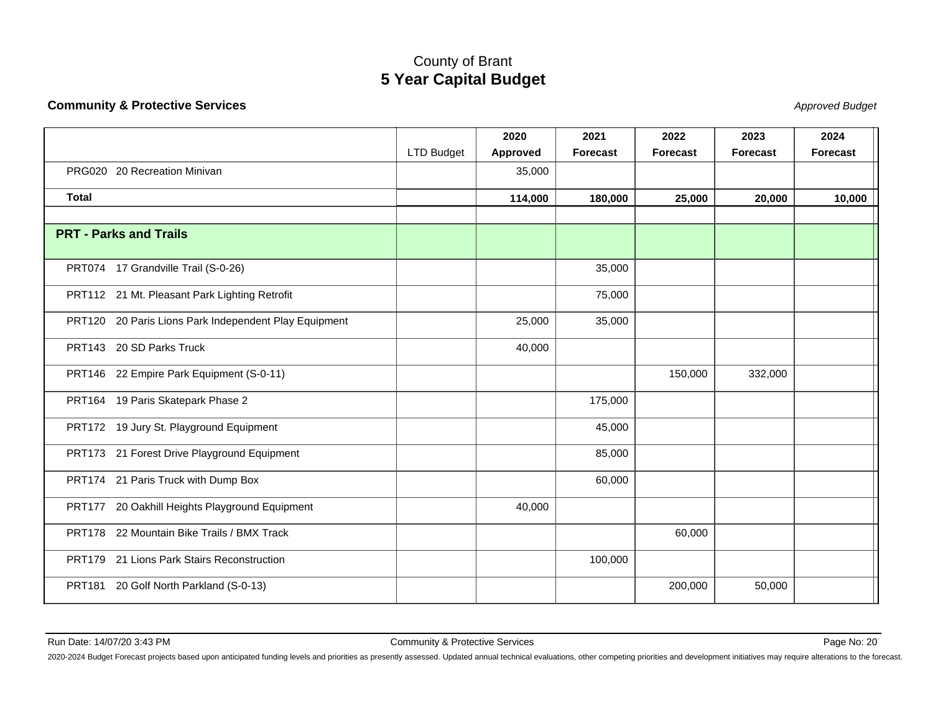#### **Community & Protective Services**

State of the contract of the contract of the contract of the contract of the contract of the contract of the contract of the contract of the contract of the contract of the contract of the contract of the contract of the c

|                                                       |                   | 2020     | 2021            | 2022            | 2023            | 2024            |
|-------------------------------------------------------|-------------------|----------|-----------------|-----------------|-----------------|-----------------|
|                                                       | <b>LTD Budget</b> | Approved | <b>Forecast</b> | <b>Forecast</b> | <b>Forecast</b> | <b>Forecast</b> |
| PRG020 20 Recreation Minivan                          |                   | 35,000   |                 |                 |                 |                 |
| <b>Total</b>                                          |                   | 114,000  | 180,000         | 25,000          | 20,000          | 10,000          |
|                                                       |                   |          |                 |                 |                 |                 |
| <b>PRT - Parks and Trails</b>                         |                   |          |                 |                 |                 |                 |
| PRT074 17 Grandville Trail (S-0-26)                   |                   |          | 35,000          |                 |                 |                 |
| PRT112 21 Mt. Pleasant Park Lighting Retrofit         |                   |          | 75,000          |                 |                 |                 |
| PRT120 20 Paris Lions Park Independent Play Equipment |                   | 25,000   | 35,000          |                 |                 |                 |
| PRT143 20 SD Parks Truck                              |                   | 40,000   |                 |                 |                 |                 |
| PRT146 22 Empire Park Equipment (S-0-11)              |                   |          |                 | 150,000         | 332,000         |                 |
| PRT164 19 Paris Skatepark Phase 2                     |                   |          | 175,000         |                 |                 |                 |
| PRT172 19 Jury St. Playground Equipment               |                   |          | 45,000          |                 |                 |                 |
| PRT173 21 Forest Drive Playground Equipment           |                   |          | 85,000          |                 |                 |                 |
| PRT174 21 Paris Truck with Dump Box                   |                   |          | 60,000          |                 |                 |                 |
| PRT177 20 Oakhill Heights Playground Equipment        |                   | 40,000   |                 |                 |                 |                 |
| PRT178 22 Mountain Bike Trails / BMX Track            |                   |          |                 | 60,000          |                 |                 |
| PRT179 21 Lions Park Stairs Reconstruction            |                   |          | 100,000         |                 |                 |                 |
| PRT181 20 Golf North Parkland (S-0-13)                |                   |          |                 | 200,000         | 50,000          |                 |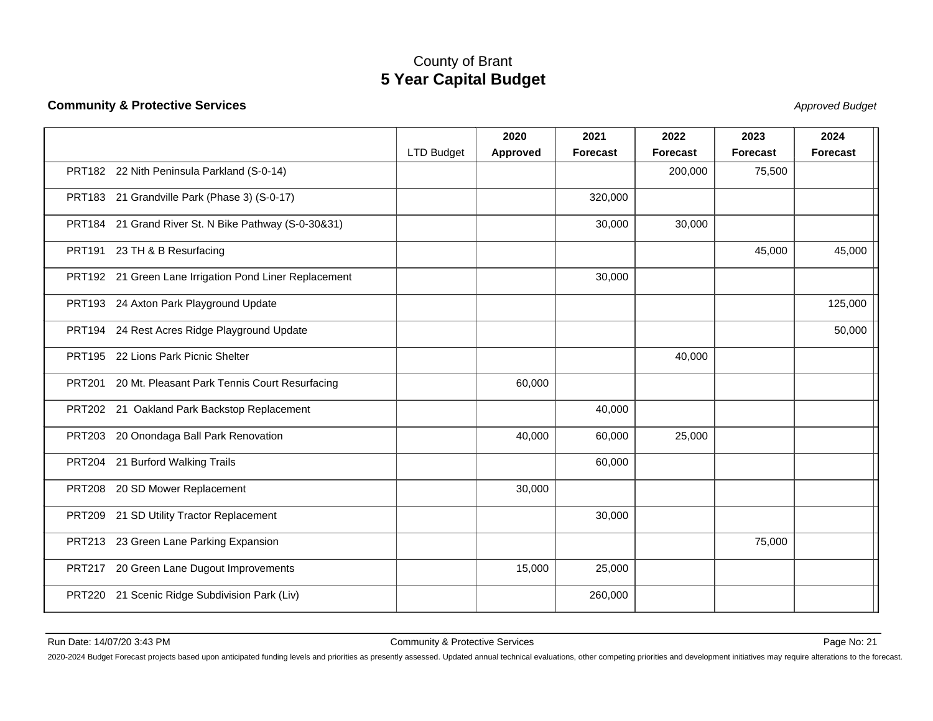#### **Community & Protective Services**

State of the contract of the contract of the contract of the contract of the contract of the contract of the contract of the contract of the contract of the contract of the contract of the contract of the contract of the c

|                                                        |                   | 2020     | 2021            | 2022            | 2023            | 2024            |
|--------------------------------------------------------|-------------------|----------|-----------------|-----------------|-----------------|-----------------|
|                                                        | <b>LTD Budget</b> | Approved | <b>Forecast</b> | <b>Forecast</b> | <b>Forecast</b> | <b>Forecast</b> |
| PRT182 22 Nith Peninsula Parkland (S-0-14)             |                   |          |                 | 200,000         | 75,500          |                 |
| PRT183 21 Grandville Park (Phase 3) (S-0-17)           |                   |          | 320,000         |                 |                 |                 |
| PRT184 21 Grand River St. N Bike Pathway (S-0-30&31)   |                   |          | 30,000          | 30,000          |                 |                 |
| PRT191 23 TH & B Resurfacing                           |                   |          |                 |                 | 45,000          | 45,000          |
| PRT192 21 Green Lane Irrigation Pond Liner Replacement |                   |          | 30,000          |                 |                 |                 |
| PRT193 24 Axton Park Playground Update                 |                   |          |                 |                 |                 | 125,000         |
| PRT194 24 Rest Acres Ridge Playground Update           |                   |          |                 |                 |                 | 50,000          |
| PRT195 22 Lions Park Picnic Shelter                    |                   |          |                 | 40,000          |                 |                 |
| PRT201 20 Mt. Pleasant Park Tennis Court Resurfacing   |                   | 60,000   |                 |                 |                 |                 |
| PRT202 21 Oakland Park Backstop Replacement            |                   |          | 40,000          |                 |                 |                 |
| PRT203 20 Onondaga Ball Park Renovation                |                   | 40,000   | 60,000          | 25,000          |                 |                 |
| PRT204 21 Burford Walking Trails                       |                   |          | 60,000          |                 |                 |                 |
| 20 SD Mower Replacement<br><b>PRT208</b>               |                   | 30,000   |                 |                 |                 |                 |
| 21 SD Utility Tractor Replacement<br><b>PRT209</b>     |                   |          | 30,000          |                 |                 |                 |
| PRT213 23 Green Lane Parking Expansion                 |                   |          |                 |                 | 75,000          |                 |
| PRT217 20 Green Lane Dugout Improvements               |                   | 15,000   | 25,000          |                 |                 |                 |
| PRT220 21 Scenic Ridge Subdivision Park (Liv)          |                   |          | 260,000         |                 |                 |                 |
|                                                        |                   |          |                 |                 |                 |                 |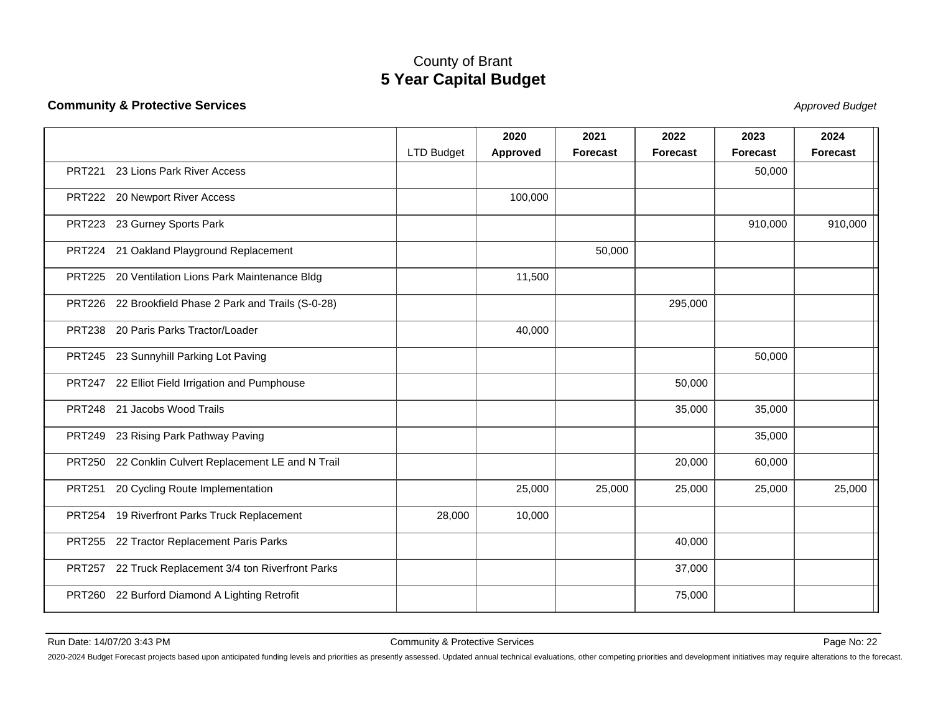#### **Community & Protective Services**

State of the contract of the contract of the contract of the contract of the contract of the contract of the contract of the contract of the contract of the contract of the contract of the contract of the contract of the c

|               |                                                       |            | 2020     | 2021            | 2022            | 2023            | 2024            |
|---------------|-------------------------------------------------------|------------|----------|-----------------|-----------------|-----------------|-----------------|
|               |                                                       | LTD Budget | Approved | <b>Forecast</b> | <b>Forecast</b> | <b>Forecast</b> | <b>Forecast</b> |
| <b>PRT221</b> | 23 Lions Park River Access                            |            |          |                 |                 | 50,000          |                 |
|               | PRT222 20 Newport River Access                        |            | 100,000  |                 |                 |                 |                 |
|               | PRT223 23 Gurney Sports Park                          |            |          |                 |                 | 910,000         | 910,000         |
|               | PRT224 21 Oakland Playground Replacement              |            |          | 50,000          |                 |                 |                 |
|               | PRT225 20 Ventilation Lions Park Maintenance Bldg     |            | 11,500   |                 |                 |                 |                 |
|               | PRT226 22 Brookfield Phase 2 Park and Trails (S-0-28) |            |          |                 | 295,000         |                 |                 |
|               | PRT238 20 Paris Parks Tractor/Loader                  |            | 40,000   |                 |                 |                 |                 |
|               | PRT245 23 Sunnyhill Parking Lot Paving                |            |          |                 |                 | 50,000          |                 |
|               | PRT247 22 Elliot Field Irrigation and Pumphouse       |            |          |                 | 50,000          |                 |                 |
|               | PRT248 21 Jacobs Wood Trails                          |            |          |                 | 35,000          | 35,000          |                 |
|               | PRT249 23 Rising Park Pathway Paving                  |            |          |                 |                 | 35,000          |                 |
|               | PRT250 22 Conklin Culvert Replacement LE and N Trail  |            |          |                 | 20,000          | 60,000          |                 |
| <b>PRT251</b> | 20 Cycling Route Implementation                       |            | 25,000   | 25,000          | 25,000          | 25,000          | 25,000          |
|               | PRT254 19 Riverfront Parks Truck Replacement          | 28,000     | 10,000   |                 |                 |                 |                 |
|               | PRT255 22 Tractor Replacement Paris Parks             |            |          |                 | 40,000          |                 |                 |
|               | PRT257 22 Truck Replacement 3/4 ton Riverfront Parks  |            |          |                 | 37,000          |                 |                 |
|               | PRT260 22 Burford Diamond A Lighting Retrofit         |            |          |                 | 75,000          |                 |                 |
|               |                                                       |            |          |                 |                 |                 |                 |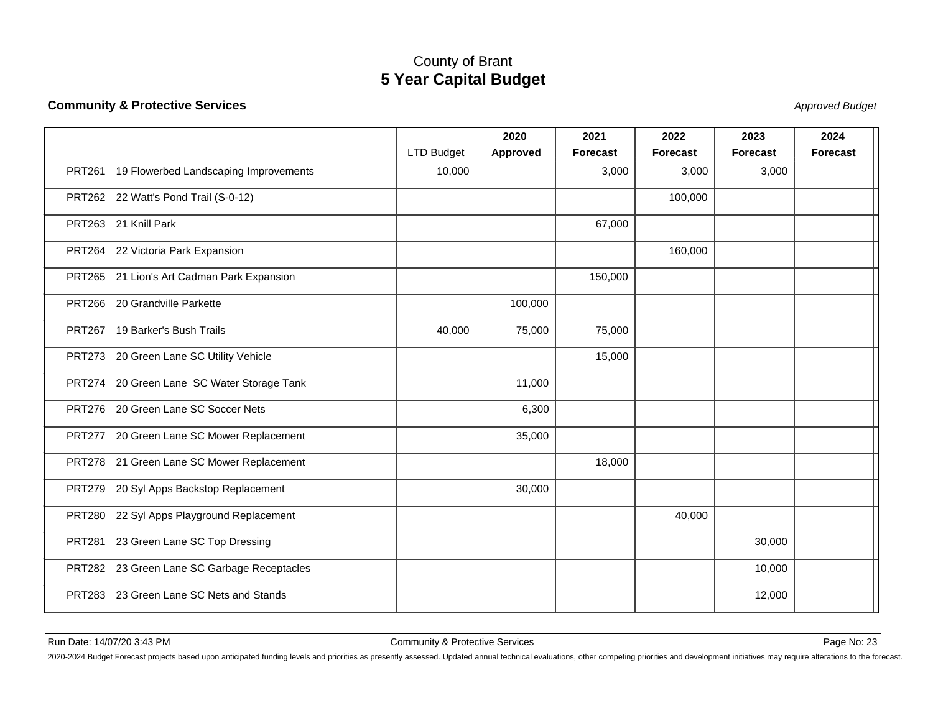#### **Community & Protective Services**

State of the contract of the contract of the contract of the contract of the contract of the contract of the contract of the contract of the contract of the contract of the contract of the contract of the contract of the c

|                                              |                   | 2020            | 2021            | 2022            | 2023            | 2024            |
|----------------------------------------------|-------------------|-----------------|-----------------|-----------------|-----------------|-----------------|
|                                              | <b>LTD Budget</b> | <b>Approved</b> | <b>Forecast</b> | <b>Forecast</b> | <b>Forecast</b> | <b>Forecast</b> |
| PRT261 19 Flowerbed Landscaping Improvements | 10,000            |                 | 3,000           | 3,000           | 3,000           |                 |
| PRT262 22 Watt's Pond Trail (S-0-12)         |                   |                 |                 | 100,000         |                 |                 |
| PRT263 21 Knill Park                         |                   |                 | 67,000          |                 |                 |                 |
| PRT264 22 Victoria Park Expansion            |                   |                 |                 | 160,000         |                 |                 |
| PRT265 21 Lion's Art Cadman Park Expansion   |                   |                 | 150,000         |                 |                 |                 |
| PRT266 20 Grandville Parkette                |                   | 100,000         |                 |                 |                 |                 |
| PRT267 19 Barker's Bush Trails               | 40,000            | 75,000          | 75,000          |                 |                 |                 |
| PRT273 20 Green Lane SC Utility Vehicle      |                   |                 | 15,000          |                 |                 |                 |
| PRT274 20 Green Lane SC Water Storage Tank   |                   | 11,000          |                 |                 |                 |                 |
| PRT276 20 Green Lane SC Soccer Nets          |                   | 6,300           |                 |                 |                 |                 |
| PRT277 20 Green Lane SC Mower Replacement    |                   | 35,000          |                 |                 |                 |                 |
| PRT278 21 Green Lane SC Mower Replacement    |                   |                 | 18,000          |                 |                 |                 |
| PRT279 20 Syl Apps Backstop Replacement      |                   | 30,000          |                 |                 |                 |                 |
| PRT280 22 Syl Apps Playground Replacement    |                   |                 |                 | 40,000          |                 |                 |
| PRT281 23 Green Lane SC Top Dressing         |                   |                 |                 |                 | 30,000          |                 |
| PRT282 23 Green Lane SC Garbage Receptacles  |                   |                 |                 |                 | 10,000          |                 |
| PRT283 23 Green Lane SC Nets and Stands      |                   |                 |                 |                 | 12,000          |                 |
|                                              |                   |                 |                 |                 |                 |                 |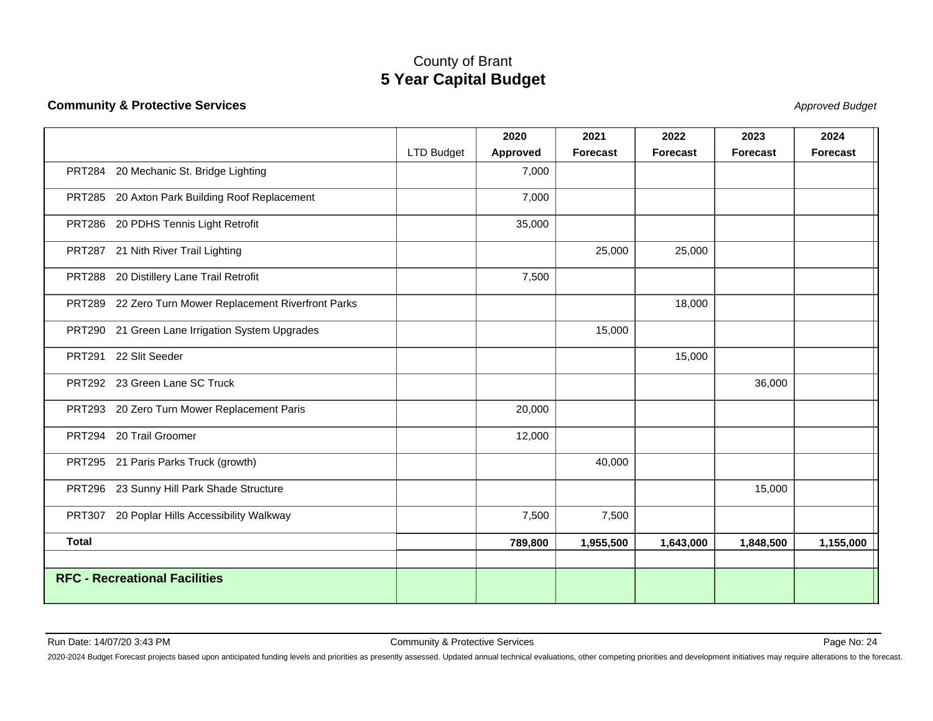#### **Community & Protective Services**

State of the contract of the contract of the contract of the contract of the contract of the contract of the contract of the contract of the contract of the contract of the contract of the contract of the contract of the c

|                         |                                                        |            | 2020     | 2021            | 2022            | 2023      | 2024            |
|-------------------------|--------------------------------------------------------|------------|----------|-----------------|-----------------|-----------|-----------------|
|                         |                                                        | LTD Budget | Approved | <b>Forecast</b> | <b>Forecast</b> | Forecast  | <b>Forecast</b> |
|                         | PRT284 20 Mechanic St. Bridge Lighting                 |            | 7,000    |                 |                 |           |                 |
|                         | PRT285 20 Axton Park Building Roof Replacement         |            | 7,000    |                 |                 |           |                 |
|                         | PRT286 20 PDHS Tennis Light Retrofit                   |            | 35,000   |                 |                 |           |                 |
|                         | PRT287 21 Nith River Trail Lighting                    |            |          | 25,000          | 25,000          |           |                 |
|                         | PRT288 20 Distillery Lane Trail Retrofit               |            | 7,500    |                 |                 |           |                 |
|                         | PRT289 22 Zero Turn Mower Replacement Riverfront Parks |            |          |                 | 18,000          |           |                 |
|                         | PRT290 21 Green Lane Irrigation System Upgrades        |            |          | 15,000          |                 |           |                 |
| PRT291 22 Slit Seeder   |                                                        |            |          |                 | 15,000          |           |                 |
|                         | PRT292 23 Green Lane SC Truck                          |            |          |                 |                 | 36,000    |                 |
|                         | PRT293 20 Zero Turn Mower Replacement Paris            |            | 20,000   |                 |                 |           |                 |
| PRT294 20 Trail Groomer |                                                        |            | 12,000   |                 |                 |           |                 |
|                         | PRT295 21 Paris Parks Truck (growth)                   |            |          | 40,000          |                 |           |                 |
|                         | PRT296 23 Sunny Hill Park Shade Structure              |            |          |                 |                 | 15,000    |                 |
|                         | PRT307 20 Poplar Hills Accessibility Walkway           |            | 7,500    | 7,500           |                 |           |                 |
| <b>Total</b>            |                                                        |            | 789,800  | 1,955,500       | 1,643,000       | 1,848,500 | 1,155,000       |
|                         | <b>RFC - Recreational Facilities</b>                   |            |          |                 |                 |           |                 |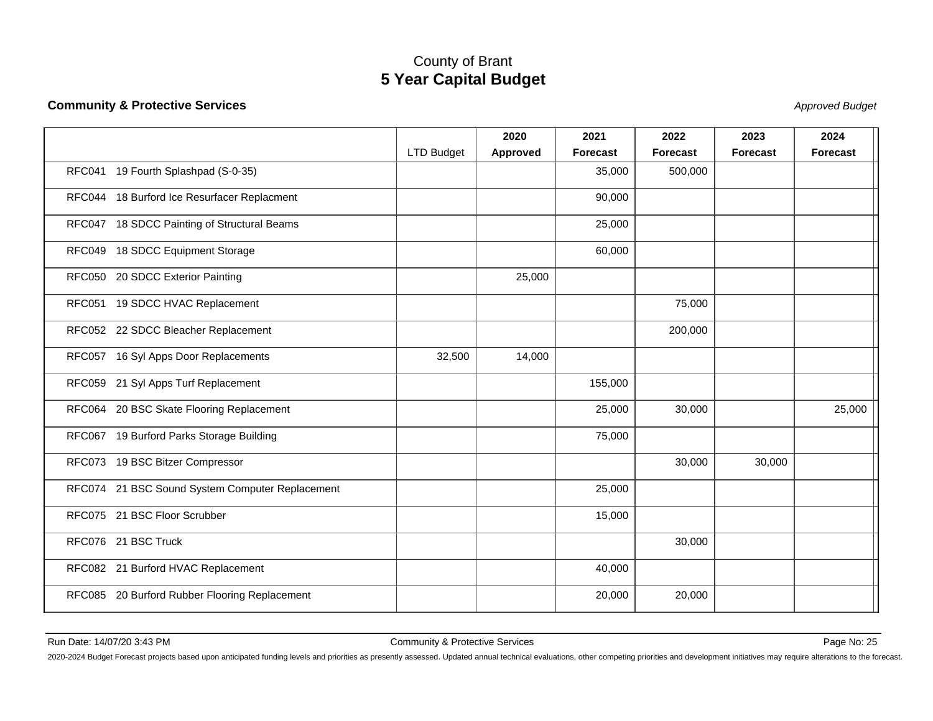#### **Community & Protective Services**

State of the contract of the contract of the contract of the contract of the contract of the contract of the contract of the contract of the contract of the contract of the contract of the contract of the contract of the c

|                                                 |                   | 2020     | 2021            | 2022     | 2023            | 2024            |
|-------------------------------------------------|-------------------|----------|-----------------|----------|-----------------|-----------------|
|                                                 | <b>LTD Budget</b> | Approved | <b>Forecast</b> | Forecast | <b>Forecast</b> | <b>Forecast</b> |
| RFC041 19 Fourth Splashpad (S-0-35)             |                   |          | 35,000          | 500,000  |                 |                 |
| RFC044 18 Burford Ice Resurfacer Replacment     |                   |          | 90,000          |          |                 |                 |
| RFC047 18 SDCC Painting of Structural Beams     |                   |          | 25,000          |          |                 |                 |
| RFC049 18 SDCC Equipment Storage                |                   |          | 60,000          |          |                 |                 |
| RFC050 20 SDCC Exterior Painting                |                   | 25,000   |                 |          |                 |                 |
| RFC051 19 SDCC HVAC Replacement                 |                   |          |                 | 75,000   |                 |                 |
| RFC052 22 SDCC Bleacher Replacement             |                   |          |                 | 200,000  |                 |                 |
| RFC057 16 Syl Apps Door Replacements            | 32,500            | 14,000   |                 |          |                 |                 |
| RFC059 21 Syl Apps Turf Replacement             |                   |          | 155,000         |          |                 |                 |
| RFC064 20 BSC Skate Flooring Replacement        |                   |          | 25,000          | 30,000   |                 | 25,000          |
| RFC067 19 Burford Parks Storage Building        |                   |          | 75,000          |          |                 |                 |
| RFC073 19 BSC Bitzer Compressor                 |                   |          |                 | 30,000   | 30,000          |                 |
| RFC074 21 BSC Sound System Computer Replacement |                   |          | 25,000          |          |                 |                 |
| RFC075 21 BSC Floor Scrubber                    |                   |          | 15,000          |          |                 |                 |
| RFC076 21 BSC Truck                             |                   |          |                 | 30,000   |                 |                 |
| RFC082 21 Burford HVAC Replacement              |                   |          | 40,000          |          |                 |                 |
| RFC085 20 Burford Rubber Flooring Replacement   |                   |          | 20,000          | 20,000   |                 |                 |
|                                                 |                   |          |                 |          |                 |                 |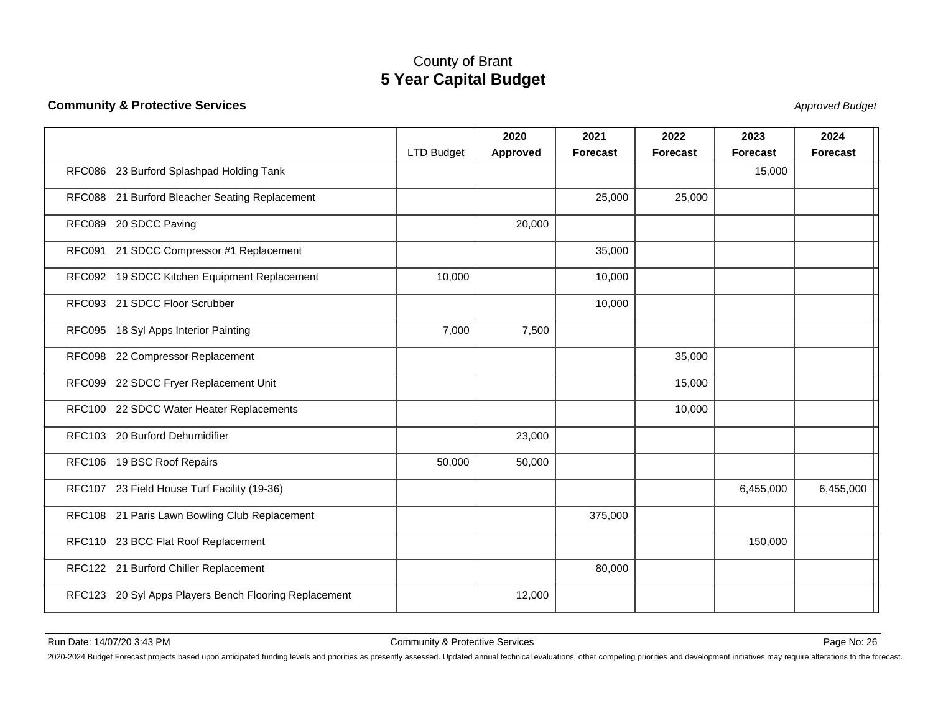#### **Community & Protective Services**

State of the contract of the contract of the contract of the contract of the contract of the contract of the contract of the contract of the contract of the contract of the contract of the contract of the contract of the c

|                                                       |                   | 2020     | 2021            | 2022            | 2023            | 2024            |
|-------------------------------------------------------|-------------------|----------|-----------------|-----------------|-----------------|-----------------|
|                                                       | <b>LTD Budget</b> | Approved | <b>Forecast</b> | <b>Forecast</b> | <b>Forecast</b> | <b>Forecast</b> |
| RFC086 23 Burford Splashpad Holding Tank              |                   |          |                 |                 | 15,000          |                 |
| RFC088 21 Burford Bleacher Seating Replacement        |                   |          | 25,000          | 25,000          |                 |                 |
| RFC089 20 SDCC Paving                                 |                   | 20,000   |                 |                 |                 |                 |
| RFC091 21 SDCC Compressor #1 Replacement              |                   |          | 35,000          |                 |                 |                 |
| RFC092 19 SDCC Kitchen Equipment Replacement          | 10,000            |          | 10,000          |                 |                 |                 |
| RFC093 21 SDCC Floor Scrubber                         |                   |          | 10,000          |                 |                 |                 |
| RFC095 18 Syl Apps Interior Painting                  | 7,000             | 7,500    |                 |                 |                 |                 |
| RFC098 22 Compressor Replacement                      |                   |          |                 | 35,000          |                 |                 |
| RFC099 22 SDCC Fryer Replacement Unit                 |                   |          |                 | 15,000          |                 |                 |
| RFC100 22 SDCC Water Heater Replacements              |                   |          |                 | 10,000          |                 |                 |
| RFC103 20 Burford Dehumidifier                        |                   | 23,000   |                 |                 |                 |                 |
| RFC106 19 BSC Roof Repairs                            | 50,000            | 50,000   |                 |                 |                 |                 |
| RFC107 23 Field House Turf Facility (19-36)           |                   |          |                 |                 | 6,455,000       | 6,455,000       |
| RFC108 21 Paris Lawn Bowling Club Replacement         |                   |          | 375,000         |                 |                 |                 |
| RFC110 23 BCC Flat Roof Replacement                   |                   |          |                 |                 | 150,000         |                 |
| RFC122 21 Burford Chiller Replacement                 |                   |          | 80,000          |                 |                 |                 |
| RFC123 20 Syl Apps Players Bench Flooring Replacement |                   | 12,000   |                 |                 |                 |                 |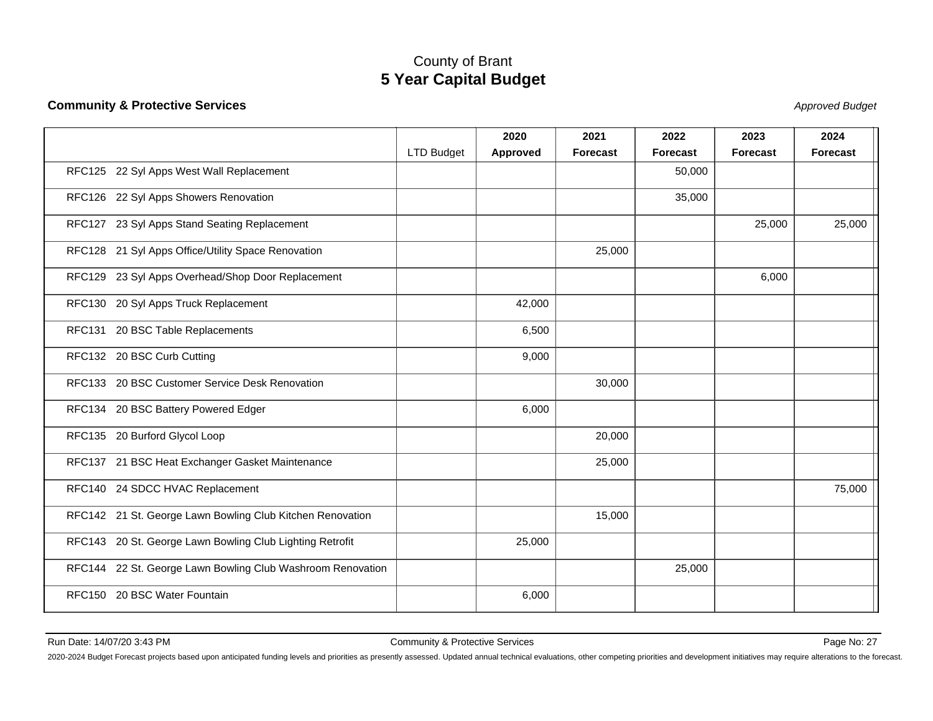#### **Community & Protective Services**

State of the contract of the contract of the contract of the contract of the contract of the contract of the contract of the contract of the contract of the contract of the contract of the contract of the contract of the c

|                                                            |                   | 2020     | 2021            | 2022            | 2023            | 2024            |
|------------------------------------------------------------|-------------------|----------|-----------------|-----------------|-----------------|-----------------|
|                                                            | <b>LTD Budget</b> | Approved | <b>Forecast</b> | <b>Forecast</b> | <b>Forecast</b> | <b>Forecast</b> |
| RFC125 22 Syl Apps West Wall Replacement                   |                   |          |                 | 50,000          |                 |                 |
| RFC126 22 Syl Apps Showers Renovation                      |                   |          |                 | 35,000          |                 |                 |
| RFC127 23 Syl Apps Stand Seating Replacement               |                   |          |                 |                 | 25,000          | 25,000          |
| RFC128 21 Syl Apps Office/Utility Space Renovation         |                   |          | 25,000          |                 |                 |                 |
| RFC129 23 Syl Apps Overhead/Shop Door Replacement          |                   |          |                 |                 | 6,000           |                 |
| RFC130 20 Syl Apps Truck Replacement                       |                   | 42,000   |                 |                 |                 |                 |
| RFC131 20 BSC Table Replacements                           |                   | 6,500    |                 |                 |                 |                 |
| RFC132 20 BSC Curb Cutting                                 |                   | 9,000    |                 |                 |                 |                 |
| RFC133 20 BSC Customer Service Desk Renovation             |                   |          | 30,000          |                 |                 |                 |
| RFC134 20 BSC Battery Powered Edger                        |                   | 6,000    |                 |                 |                 |                 |
| RFC135 20 Burford Glycol Loop                              |                   |          | 20,000          |                 |                 |                 |
| RFC137 21 BSC Heat Exchanger Gasket Maintenance            |                   |          | 25,000          |                 |                 |                 |
| RFC140 24 SDCC HVAC Replacement                            |                   |          |                 |                 |                 | 75,000          |
| RFC142 21 St. George Lawn Bowling Club Kitchen Renovation  |                   |          | 15,000          |                 |                 |                 |
| RFC143 20 St. George Lawn Bowling Club Lighting Retrofit   |                   | 25,000   |                 |                 |                 |                 |
| RFC144 22 St. George Lawn Bowling Club Washroom Renovation |                   |          |                 | 25,000          |                 |                 |
| RFC150 20 BSC Water Fountain                               |                   | 6,000    |                 |                 |                 |                 |
|                                                            |                   |          |                 |                 |                 |                 |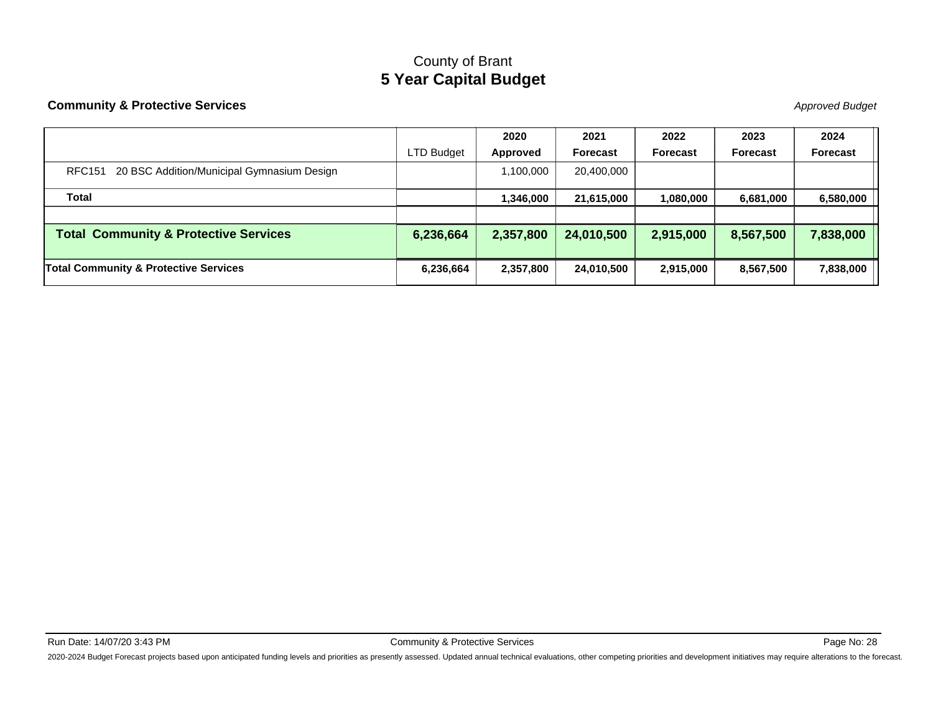#### **Community & Protective Services**

State of the contract of the contract of the contract of the contract of the contract of the contract of the contract of the contract of the contract of the contract of the contract of the contract of the contract of the c

|                                                   |                   | 2020      | 2021            | 2022            | 2023            | 2024      |
|---------------------------------------------------|-------------------|-----------|-----------------|-----------------|-----------------|-----------|
|                                                   | <b>LTD Budget</b> | Approved  | <b>Forecast</b> | <b>Forecast</b> | <b>Forecast</b> | Forecast  |
| RFC151 20 BSC Addition/Municipal Gymnasium Design |                   | 1,100,000 | 20,400,000      |                 |                 |           |
| Total                                             |                   | 1,346,000 | 21,615,000      | 1,080,000       | 6,681,000       | 6,580,000 |
|                                                   |                   |           |                 |                 |                 |           |
| <b>Total Community &amp; Protective Services</b>  | 6,236,664         | 2,357,800 | 24,010,500      | 2,915,000       | 8,567,500       | 7,838,000 |
| <b>Total Community &amp; Protective Services</b>  | 6,236,664         | 2,357,800 | 24,010,500      | 2,915,000       | 8,567,500       | 7,838,000 |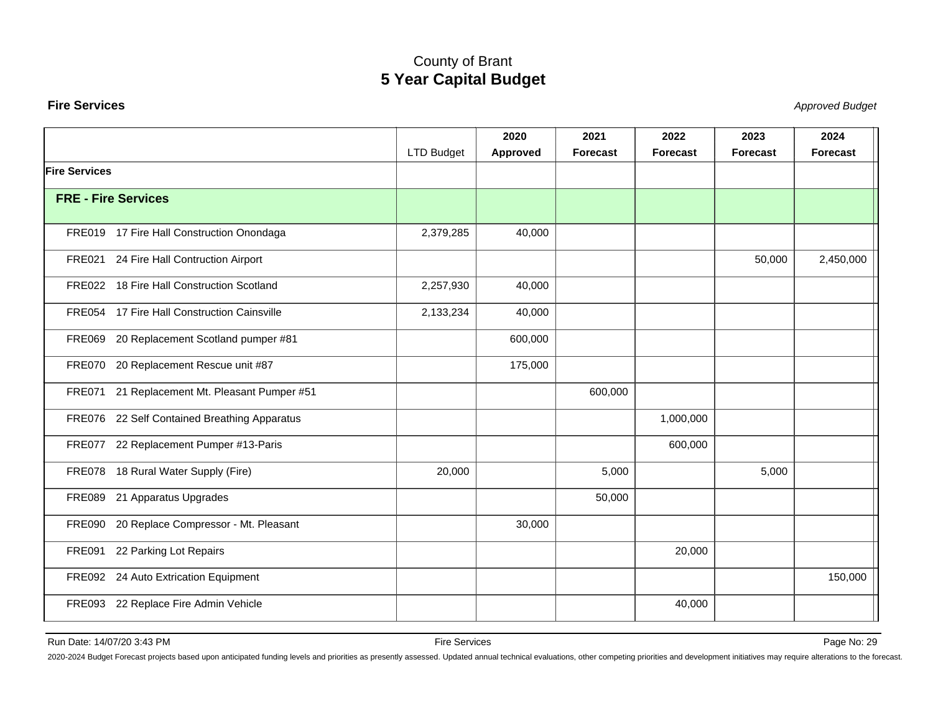#### <span id="page-29-0"></span>**Fire Services**

Stephend Budget and the set of the set of the set of the set of the set of the set of the set of the set of the set of the set of the set of the set of the set of the set of the set of the set of the set of the set of the

|                      |                                               |                   | 2020     | 2021     | 2022            | 2023     | 2024            |
|----------------------|-----------------------------------------------|-------------------|----------|----------|-----------------|----------|-----------------|
|                      |                                               | <b>LTD Budget</b> | Approved | Forecast | <b>Forecast</b> | Forecast | <b>Forecast</b> |
| <b>Fire Services</b> |                                               |                   |          |          |                 |          |                 |
|                      | <b>FRE - Fire Services</b>                    |                   |          |          |                 |          |                 |
|                      | FRE019 17 Fire Hall Construction Onondaga     | 2,379,285         | 40,000   |          |                 |          |                 |
|                      | FRE021 24 Fire Hall Contruction Airport       |                   |          |          |                 | 50,000   | 2,450,000       |
|                      | FRE022 18 Fire Hall Construction Scotland     | 2,257,930         | 40,000   |          |                 |          |                 |
|                      | FRE054 17 Fire Hall Construction Cainsville   | 2,133,234         | 40,000   |          |                 |          |                 |
|                      | FRE069 20 Replacement Scotland pumper #81     |                   | 600,000  |          |                 |          |                 |
|                      | FRE070 20 Replacement Rescue unit #87         |                   | 175,000  |          |                 |          |                 |
|                      | FRE071 21 Replacement Mt. Pleasant Pumper #51 |                   |          | 600,000  |                 |          |                 |
|                      | FRE076 22 Self Contained Breathing Apparatus  |                   |          |          | 1,000,000       |          |                 |
|                      | FRE077 22 Replacement Pumper #13-Paris        |                   |          |          | 600,000         |          |                 |
|                      | FRE078 18 Rural Water Supply (Fire)           | 20,000            |          | 5,000    |                 | 5,000    |                 |
|                      | FRE089 21 Apparatus Upgrades                  |                   |          | 50,000   |                 |          |                 |
|                      | FRE090 20 Replace Compressor - Mt. Pleasant   |                   | 30,000   |          |                 |          |                 |
|                      | FRE091 22 Parking Lot Repairs                 |                   |          |          | 20,000          |          |                 |
|                      | FRE092 24 Auto Extrication Equipment          |                   |          |          |                 |          | 150,000         |
|                      | FRE093 22 Replace Fire Admin Vehicle          |                   |          |          | 40,000          |          |                 |

Run Date: 14/07/20 3:43 PM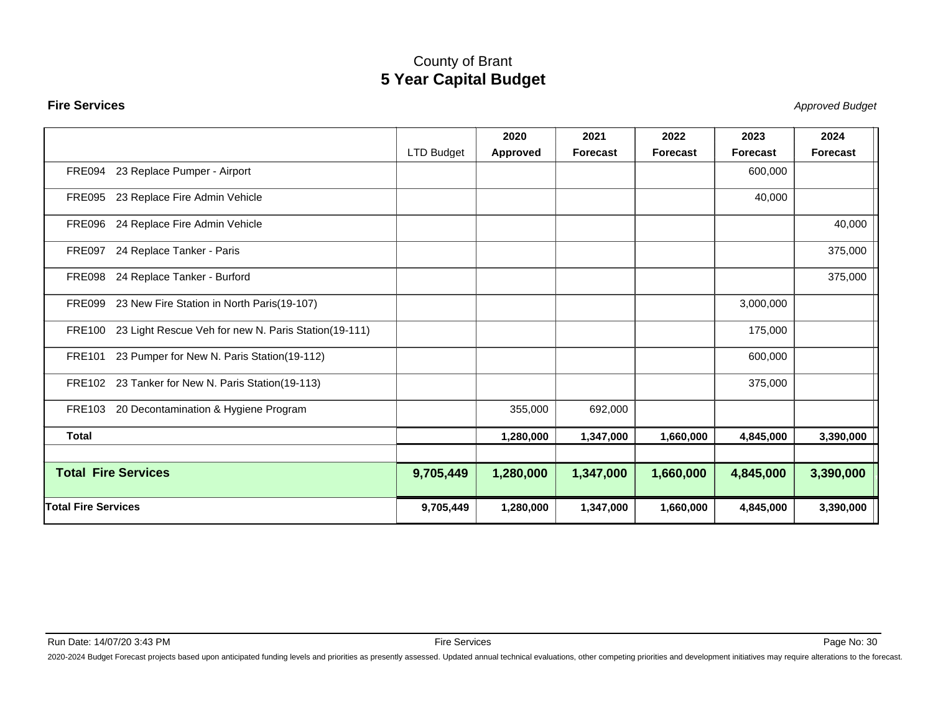#### **Fire Services**

Stephend Budget and the set of the set of the set of the set of the set of the set of the set of the set of the set of the set of the set of the set of the set of the set of the set of the set of the set of the set of the

|                                      |                                                      |            | 2020      | 2021            | 2022            | 2023            | 2024      |
|--------------------------------------|------------------------------------------------------|------------|-----------|-----------------|-----------------|-----------------|-----------|
|                                      |                                                      | LTD Budget | Approved  | <b>Forecast</b> | <b>Forecast</b> | <b>Forecast</b> | Forecast  |
| FRE094                               | 23 Replace Pumper - Airport                          |            |           |                 |                 | 600,000         |           |
| <b>FRE095</b>                        | 23 Replace Fire Admin Vehicle                        |            |           |                 |                 | 40,000          |           |
| FRE096 24 Replace Fire Admin Vehicle |                                                      |            |           |                 |                 |                 | 40,000    |
| FRE097 24 Replace Tanker - Paris     |                                                      |            |           |                 |                 |                 | 375,000   |
| FRE098 24 Replace Tanker - Burford   |                                                      |            |           |                 |                 |                 | 375,000   |
| FRE099                               | 23 New Fire Station in North Paris(19-107)           |            |           |                 |                 | 3,000,000       |           |
| <b>FRE100</b>                        | 23 Light Rescue Veh for new N. Paris Station(19-111) |            |           |                 |                 | 175,000         |           |
| <b>FRE101</b>                        | 23 Pumper for New N. Paris Station(19-112)           |            |           |                 |                 | 600,000         |           |
|                                      | FRE102 23 Tanker for New N. Paris Station(19-113)    |            |           |                 |                 | 375,000         |           |
| <b>FRE103</b>                        | 20 Decontamination & Hygiene Program                 |            | 355,000   | 692,000         |                 |                 |           |
| <b>Total</b>                         |                                                      |            | 1,280,000 | 1,347,000       | 1,660,000       | 4,845,000       | 3,390,000 |
| <b>Total Fire Services</b>           |                                                      | 9,705,449  | 1,280,000 | 1,347,000       | 1,660,000       | 4,845,000       | 3,390,000 |
| <b>Total Fire Services</b>           |                                                      | 9,705,449  | 1,280,000 | 1,347,000       | 1,660,000       | 4,845,000       | 3,390,000 |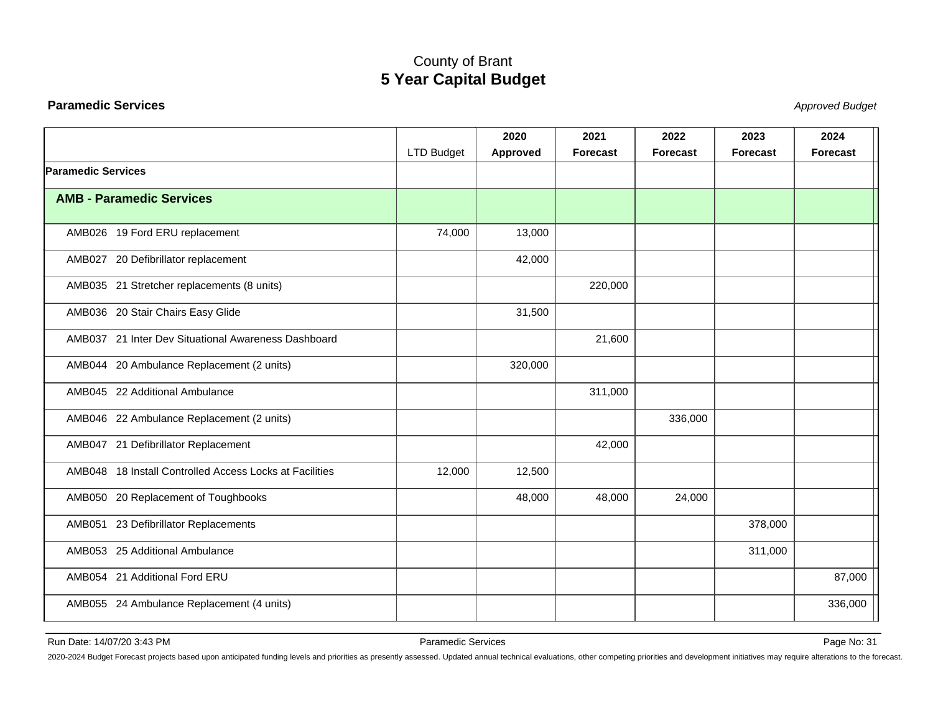#### <span id="page-31-0"></span>**Paramedic Services**

Stephend Budget and the set of the set of the set of the set of the set of the set of the set of the set of the set of the set of the set of the set of the set of the set of the set of the set of the set of the set of the

|                                                         |                   | 2020     | 2021            | 2022            | 2023            | 2024            |
|---------------------------------------------------------|-------------------|----------|-----------------|-----------------|-----------------|-----------------|
|                                                         | <b>LTD Budget</b> | Approved | <b>Forecast</b> | <b>Forecast</b> | <b>Forecast</b> | <b>Forecast</b> |
| <b>Paramedic Services</b>                               |                   |          |                 |                 |                 |                 |
| <b>AMB - Paramedic Services</b>                         |                   |          |                 |                 |                 |                 |
| AMB026 19 Ford ERU replacement                          | 74,000            | 13,000   |                 |                 |                 |                 |
| AMB027 20 Defibrillator replacement                     |                   | 42,000   |                 |                 |                 |                 |
| AMB035 21 Stretcher replacements (8 units)              |                   |          | 220,000         |                 |                 |                 |
| AMB036 20 Stair Chairs Easy Glide                       |                   | 31,500   |                 |                 |                 |                 |
| AMB037 21 Inter Dev Situational Awareness Dashboard     |                   |          | 21,600          |                 |                 |                 |
| AMB044 20 Ambulance Replacement (2 units)               |                   | 320,000  |                 |                 |                 |                 |
| AMB045 22 Additional Ambulance                          |                   |          | 311,000         |                 |                 |                 |
| AMB046 22 Ambulance Replacement (2 units)               |                   |          |                 | 336,000         |                 |                 |
| AMB047 21 Defibrillator Replacement                     |                   |          | 42,000          |                 |                 |                 |
| AMB048 18 Install Controlled Access Locks at Facilities | 12,000            | 12,500   |                 |                 |                 |                 |
| AMB050 20 Replacement of Toughbooks                     |                   | 48,000   | 48,000          | 24,000          |                 |                 |
| AMB051 23 Defibrillator Replacements                    |                   |          |                 |                 | 378,000         |                 |
| AMB053 25 Additional Ambulance                          |                   |          |                 |                 | 311,000         |                 |
| AMB054 21 Additional Ford ERU                           |                   |          |                 |                 |                 | 87,000          |
| AMB055 24 Ambulance Replacement (4 units)               |                   |          |                 |                 |                 | 336,000         |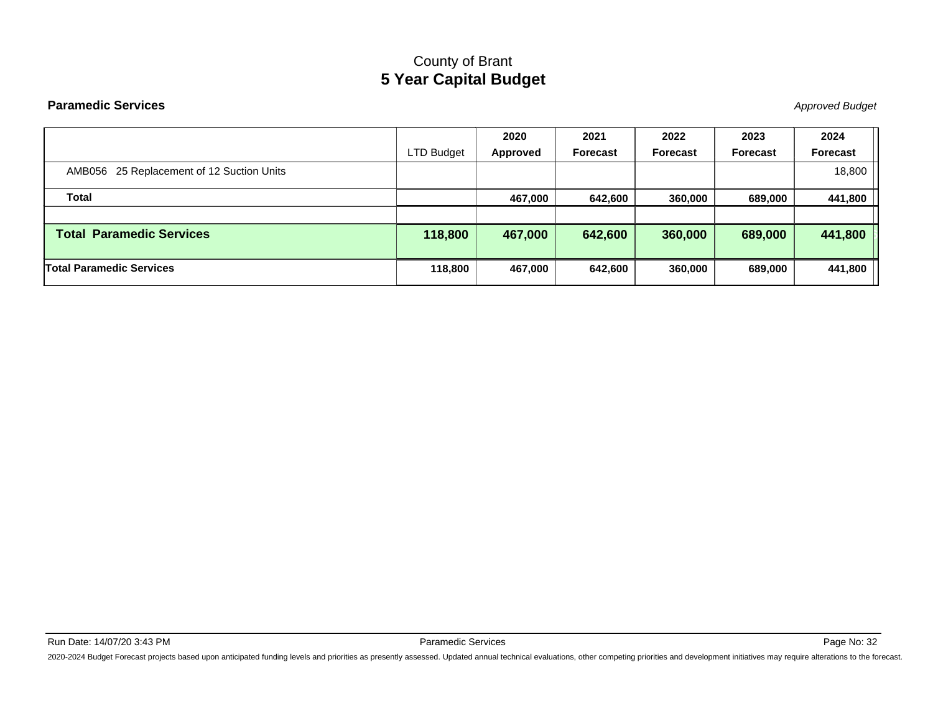#### **Paramedic Services**

Stephend Budget and the set of the set of the set of the set of the set of the set of the set of the set of the set of the set of the set of the set of the set of the set of the set of the set of the set of the set of the

|                                           |                   | 2020     | 2021            | 2022            | 2023            | 2024     |
|-------------------------------------------|-------------------|----------|-----------------|-----------------|-----------------|----------|
|                                           | <b>LTD Budget</b> | Approved | <b>Forecast</b> | <b>Forecast</b> | <b>Forecast</b> | Forecast |
| AMB056 25 Replacement of 12 Suction Units |                   |          |                 |                 |                 | 18,800   |
| Total                                     |                   | 467,000  | 642,600         | 360,000         | 689,000         | 441,800  |
|                                           |                   |          |                 |                 |                 |          |
| <b>Total Paramedic Services</b>           | 118,800           | 467,000  | 642,600         | 360,000         | 689,000         | 441,800  |
| <b>Total Paramedic Services</b>           | 118,800           | 467,000  | 642,600         | 360,000         | 689,000         | 441,800  |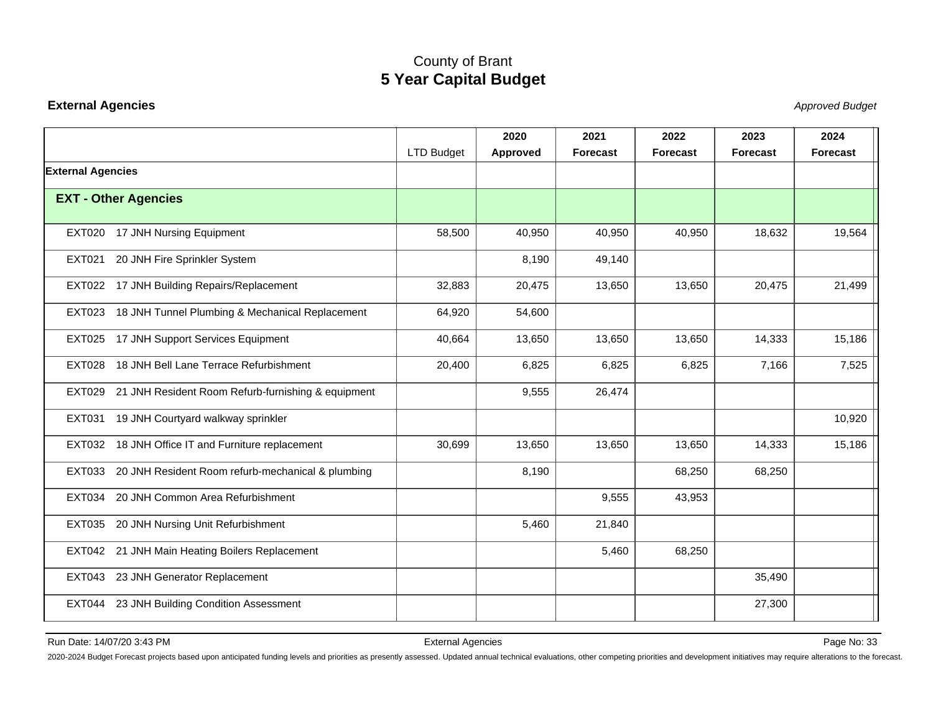#### <span id="page-33-0"></span>**External Agencies**

Stephend Budget and the set of the set of the set of the set of the set of the set of the set of the set of the set of the set of the set of the set of the set of the set of the set of the set of the set of the set of the

|                          |                                                           |                   | 2020            | 2021            | 2022            | 2023            | 2024            |
|--------------------------|-----------------------------------------------------------|-------------------|-----------------|-----------------|-----------------|-----------------|-----------------|
|                          |                                                           | <b>LTD Budget</b> | <b>Approved</b> | <b>Forecast</b> | <b>Forecast</b> | <b>Forecast</b> | <b>Forecast</b> |
| <b>External Agencies</b> |                                                           |                   |                 |                 |                 |                 |                 |
|                          | <b>EXT - Other Agencies</b>                               |                   |                 |                 |                 |                 |                 |
|                          |                                                           |                   |                 |                 |                 |                 |                 |
|                          | EXT020 17 JNH Nursing Equipment                           | 58,500            | 40,950          | 40,950          | 40,950          | 18,632          | 19,564          |
| <b>EXT021</b>            | 20 JNH Fire Sprinkler System                              |                   | 8,190           | 49,140          |                 |                 |                 |
|                          | EXT022 17 JNH Building Repairs/Replacement                | 32,883            | 20,475          | 13,650          | 13,650          | 20,475          | 21,499          |
| EXT023                   | 18 JNH Tunnel Plumbing & Mechanical Replacement           | 64,920            | 54,600          |                 |                 |                 |                 |
| <b>EXT025</b>            | 17 JNH Support Services Equipment                         | 40,664            | 13,650          | 13,650          | 13,650          | 14,333          | 15,186          |
| <b>EXT028</b>            | 18 JNH Bell Lane Terrace Refurbishment                    | 20,400            | 6,825           | 6,825           | 6,825           | 7,166           | 7,525           |
|                          | EXT029 21 JNH Resident Room Refurb-furnishing & equipment |                   | 9,555           | 26,474          |                 |                 |                 |
|                          | EXT031 19 JNH Courtyard walkway sprinkler                 |                   |                 |                 |                 |                 | 10,920          |
|                          | EXT032 18 JNH Office IT and Furniture replacement         | 30,699            | 13,650          | 13,650          | 13,650          | 14,333          | 15,186          |
|                          | EXT033 20 JNH Resident Room refurb-mechanical & plumbing  |                   | 8,190           |                 | 68,250          | 68,250          |                 |
|                          | EXT034 20 JNH Common Area Refurbishment                   |                   |                 | 9,555           | 43,953          |                 |                 |
|                          | EXT035 20 JNH Nursing Unit Refurbishment                  |                   | 5,460           | 21,840          |                 |                 |                 |
|                          | EXT042 21 JNH Main Heating Boilers Replacement            |                   |                 | 5,460           | 68,250          |                 |                 |
|                          | EXT043 23 JNH Generator Replacement                       |                   |                 |                 |                 | 35,490          |                 |
|                          | EXT044 23 JNH Building Condition Assessment               |                   |                 |                 |                 | 27,300          |                 |
|                          |                                                           |                   |                 |                 |                 |                 |                 |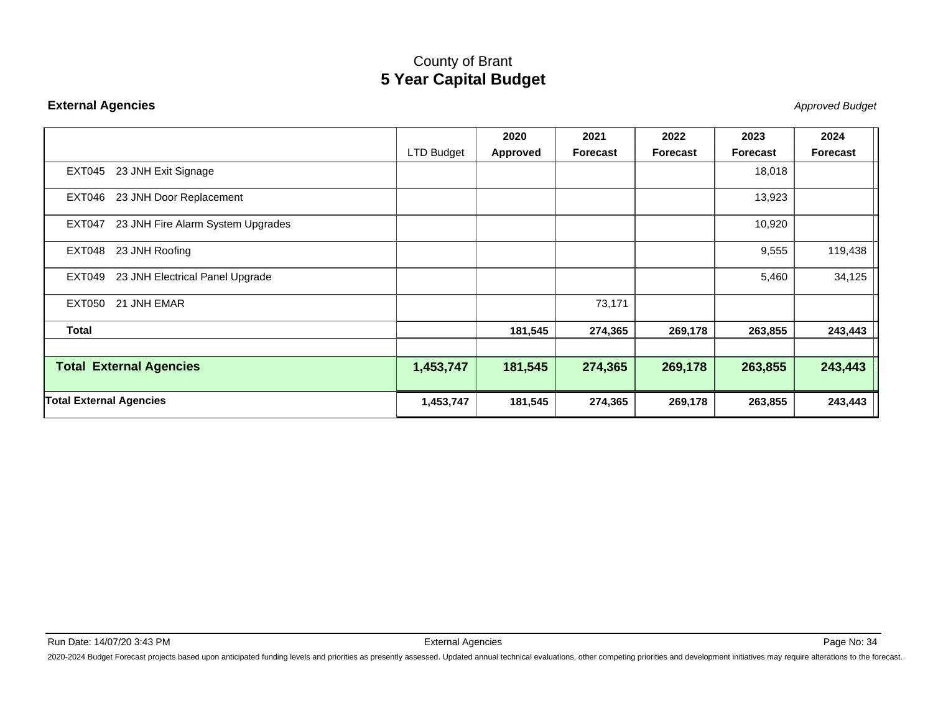#### **External Agencies**

Stephend Budget and the set of the set of the set of the set of the set of the set of the set of the set of the set of the set of the set of the set of the set of the set of the set of the set of the set of the set of the

|                                             |                   | 2020     | 2021     | 2022            | 2023     | 2024     |
|---------------------------------------------|-------------------|----------|----------|-----------------|----------|----------|
|                                             | <b>LTD Budget</b> | Approved | Forecast | <b>Forecast</b> | Forecast | Forecast |
| 23 JNH Exit Signage<br>EXT045               |                   |          |          |                 | 18,018   |          |
| EXT046 23 JNH Door Replacement              |                   |          |          |                 | 13,923   |          |
| 23 JNH Fire Alarm System Upgrades<br>EXT047 |                   |          |          |                 | 10,920   |          |
| 23 JNH Roofing<br>EXT048                    |                   |          |          |                 | 9,555    | 119,438  |
| 23 JNH Electrical Panel Upgrade<br>EXT049   |                   |          |          |                 | 5,460    | 34,125   |
| 21 JNH EMAR<br>EXT050                       |                   |          | 73,171   |                 |          |          |
| <b>Total</b>                                |                   | 181,545  | 274,365  | 269,178         | 263,855  | 243,443  |
|                                             |                   |          |          |                 |          |          |
| <b>Total External Agencies</b>              | 1,453,747         | 181,545  | 274,365  | 269,178         | 263,855  | 243,443  |
| <b>Total External Agencies</b>              | 1,453,747         | 181,545  | 274,365  | 269,178         | 263,855  | 243,443  |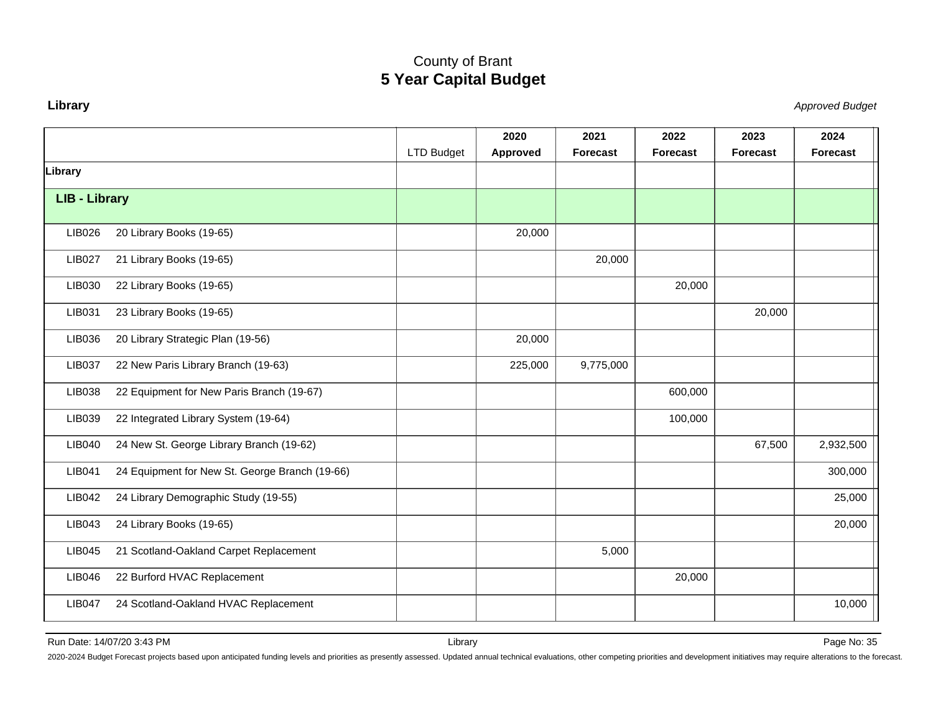#### <span id="page-35-0"></span>**Library**

Approved Budget

|                      |                                                |            | 2020     | 2021            | 2022            | 2023            | 2024      |
|----------------------|------------------------------------------------|------------|----------|-----------------|-----------------|-----------------|-----------|
|                      |                                                | LTD Budget | Approved | <b>Forecast</b> | <b>Forecast</b> | <b>Forecast</b> | Forecast  |
| Library              |                                                |            |          |                 |                 |                 |           |
| <b>LIB - Library</b> |                                                |            |          |                 |                 |                 |           |
|                      |                                                |            |          |                 |                 |                 |           |
| LIB026               | 20 Library Books (19-65)                       |            | 20,000   |                 |                 |                 |           |
| <b>LIB027</b>        | 21 Library Books (19-65)                       |            |          | 20,000          |                 |                 |           |
| LIB030               | 22 Library Books (19-65)                       |            |          |                 | 20,000          |                 |           |
| LIB031               | 23 Library Books (19-65)                       |            |          |                 |                 | 20,000          |           |
| LIB036               | 20 Library Strategic Plan (19-56)              |            | 20,000   |                 |                 |                 |           |
| <b>LIB037</b>        | 22 New Paris Library Branch (19-63)            |            | 225,000  | 9,775,000       |                 |                 |           |
| LIB038               | 22 Equipment for New Paris Branch (19-67)      |            |          |                 | 600,000         |                 |           |
| LIB039               | 22 Integrated Library System (19-64)           |            |          |                 | 100,000         |                 |           |
| LIB040               | 24 New St. George Library Branch (19-62)       |            |          |                 |                 | 67,500          | 2,932,500 |
| <b>LIB041</b>        | 24 Equipment for New St. George Branch (19-66) |            |          |                 |                 |                 | 300,000   |
| <b>LIB042</b>        | 24 Library Demographic Study (19-55)           |            |          |                 |                 |                 | 25,000    |
| LIB043               | 24 Library Books (19-65)                       |            |          |                 |                 |                 | 20,000    |
| <b>LIB045</b>        | 21 Scotland-Oakland Carpet Replacement         |            |          | 5,000           |                 |                 |           |
| LIB046               | 22 Burford HVAC Replacement                    |            |          |                 | 20,000          |                 |           |
| <b>LIB047</b>        | 24 Scotland-Oakland HVAC Replacement           |            |          |                 |                 |                 | 10,000    |

Run Date: 14/07/20 3:43 PM